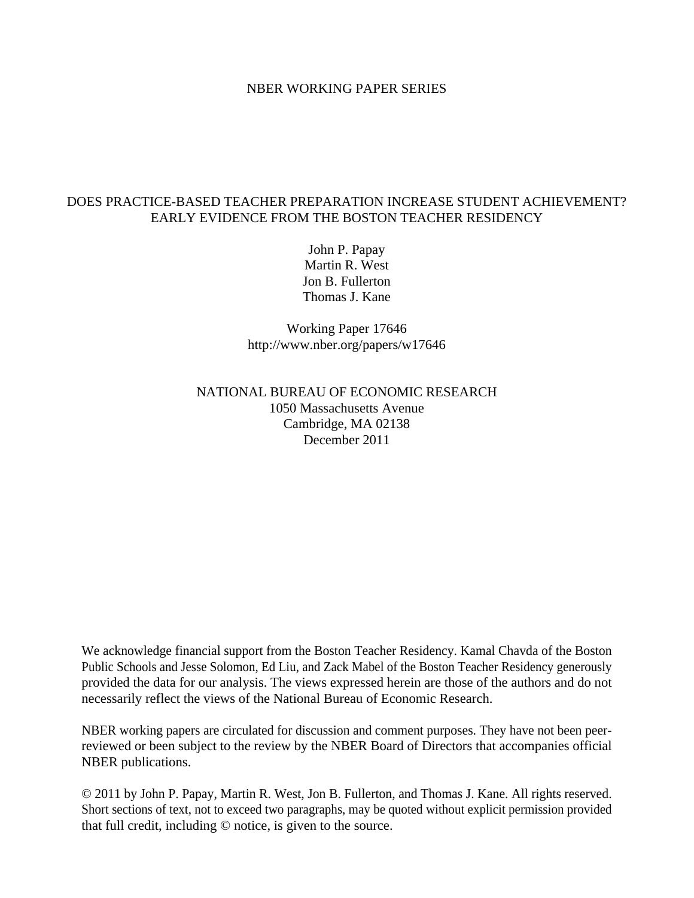## NBER WORKING PAPER SERIES

# DOES PRACTICE-BASED TEACHER PREPARATION INCREASE STUDENT ACHIEVEMENT? EARLY EVIDENCE FROM THE BOSTON TEACHER RESIDENCY

John P. Papay Martin R. West Jon B. Fullerton Thomas J. Kane

Working Paper 17646 http://www.nber.org/papers/w17646

# NATIONAL BUREAU OF ECONOMIC RESEARCH 1050 Massachusetts Avenue Cambridge, MA 02138 December 2011

We acknowledge financial support from the Boston Teacher Residency. Kamal Chavda of the Boston Public Schools and Jesse Solomon, Ed Liu, and Zack Mabel of the Boston Teacher Residency generously provided the data for our analysis. The views expressed herein are those of the authors and do not necessarily reflect the views of the National Bureau of Economic Research.

NBER working papers are circulated for discussion and comment purposes. They have not been peerreviewed or been subject to the review by the NBER Board of Directors that accompanies official NBER publications.

© 2011 by John P. Papay, Martin R. West, Jon B. Fullerton, and Thomas J. Kane. All rights reserved. Short sections of text, not to exceed two paragraphs, may be quoted without explicit permission provided that full credit, including © notice, is given to the source.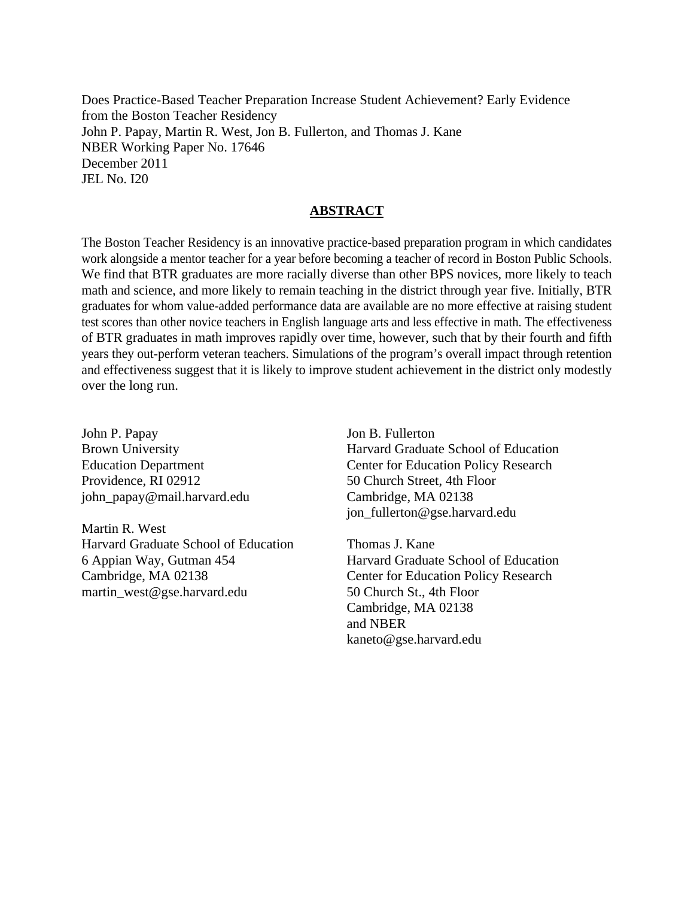Does Practice-Based Teacher Preparation Increase Student Achievement? Early Evidence from the Boston Teacher Residency John P. Papay, Martin R. West, Jon B. Fullerton, and Thomas J. Kane NBER Working Paper No. 17646 December 2011 JEL No. I20

## **ABSTRACT**

The Boston Teacher Residency is an innovative practice-based preparation program in which candidates work alongside a mentor teacher for a year before becoming a teacher of record in Boston Public Schools. We find that BTR graduates are more racially diverse than other BPS novices, more likely to teach math and science, and more likely to remain teaching in the district through year five. Initially, BTR graduates for whom value-added performance data are available are no more effective at raising student test scores than other novice teachers in English language arts and less effective in math. The effectiveness of BTR graduates in math improves rapidly over time, however, such that by their fourth and fifth years they out-perform veteran teachers. Simulations of the program's overall impact through retention and effectiveness suggest that it is likely to improve student achievement in the district only modestly over the long run.

John P. Papay Brown University Education Department Providence, RI 02912 john\_papay@mail.harvard.edu

Martin R. West Harvard Graduate School of Education 6 Appian Way, Gutman 454 Cambridge, MA 02138 martin\_west@gse.harvard.edu

Jon B. Fullerton Harvard Graduate School of Education Center for Education Policy Research 50 Church Street, 4th Floor Cambridge, MA 02138 jon\_fullerton@gse.harvard.edu

Thomas J. Kane Harvard Graduate School of Education Center for Education Policy Research 50 Church St., 4th Floor Cambridge, MA 02138 and NBER kaneto@gse.harvard.edu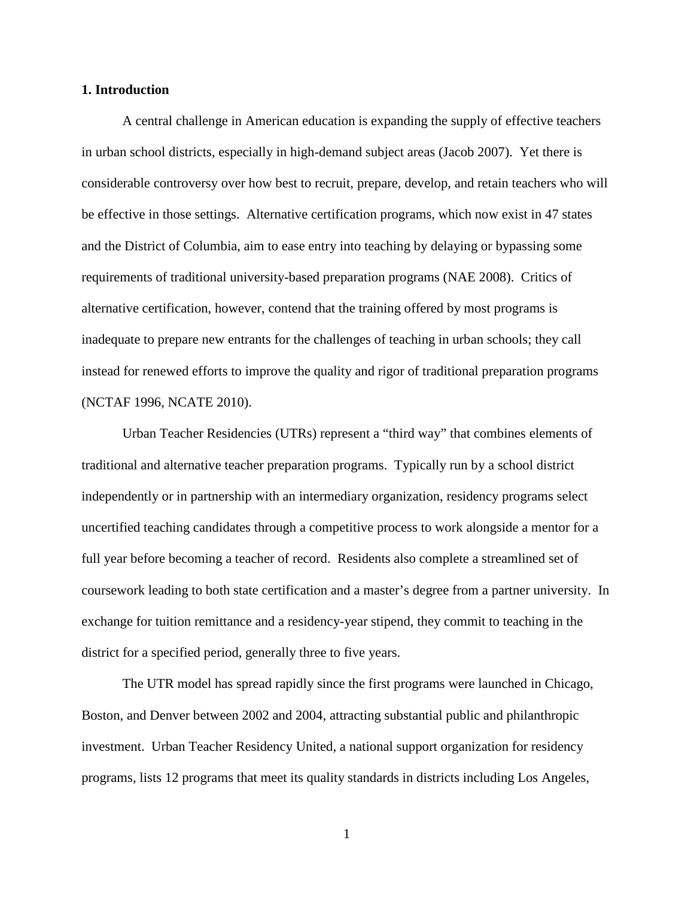#### **1. Introduction**

A central challenge in American education is expanding the supply of effective teachers in urban school districts, especially in high-demand subject areas (Jacob 2007). Yet there is considerable controversy over how best to recruit, prepare, develop, and retain teachers who will be effective in those settings. Alternative certification programs, which now exist in 47 states and the District of Columbia, aim to ease entry into teaching by delaying or bypassing some requirements of traditional university-based preparation programs (NAE 2008). Critics of alternative certification, however, contend that the training offered by most programs is inadequate to prepare new entrants for the challenges of teaching in urban schools; they call instead for renewed efforts to improve the quality and rigor of traditional preparation programs (NCTAF 1996, NCATE 2010).

Urban Teacher Residencies (UTRs) represent a "third way" that combines elements of traditional and alternative teacher preparation programs. Typically run by a school district independently or in partnership with an intermediary organization, residency programs select uncertified teaching candidates through a competitive process to work alongside a mentor for a full year before becoming a teacher of record. Residents also complete a streamlined set of coursework leading to both state certification and a master's degree from a partner university. In exchange for tuition remittance and a residency-year stipend, they commit to teaching in the district for a specified period, generally three to five years.

The UTR model has spread rapidly since the first programs were launched in Chicago, Boston, and Denver between 2002 and 2004, attracting substantial public and philanthropic investment. Urban Teacher Residency United, a national support organization for residency programs, lists 12 programs that meet its quality standards in districts including Los Angeles,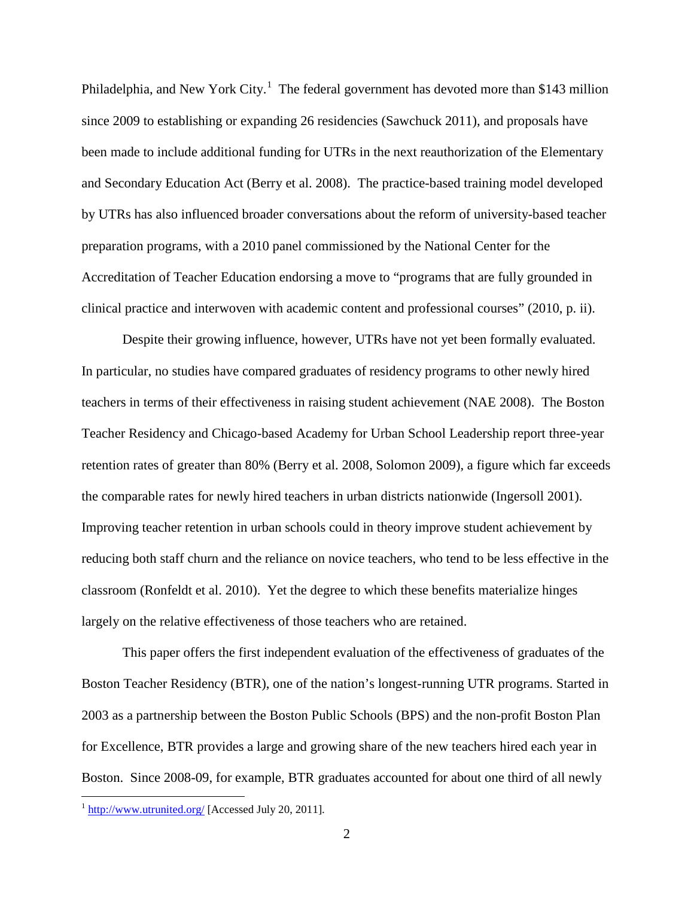Philadelphia, and New York City.<sup>[1](#page-3-0)</sup> The federal government has devoted more than \$143 million since 2009 to establishing or expanding 26 residencies (Sawchuck 2011), and proposals have been made to include additional funding for UTRs in the next reauthorization of the Elementary and Secondary Education Act (Berry et al. 2008). The practice-based training model developed by UTRs has also influenced broader conversations about the reform of university-based teacher preparation programs, with a 2010 panel commissioned by the National Center for the Accreditation of Teacher Education endorsing a move to "programs that are fully grounded in clinical practice and interwoven with academic content and professional courses" (2010, p. ii).

Despite their growing influence, however, UTRs have not yet been formally evaluated. In particular, no studies have compared graduates of residency programs to other newly hired teachers in terms of their effectiveness in raising student achievement (NAE 2008). The Boston Teacher Residency and Chicago-based Academy for Urban School Leadership report three-year retention rates of greater than 80% (Berry et al. 2008, Solomon 2009), a figure which far exceeds the comparable rates for newly hired teachers in urban districts nationwide (Ingersoll 2001). Improving teacher retention in urban schools could in theory improve student achievement by reducing both staff churn and the reliance on novice teachers, who tend to be less effective in the classroom (Ronfeldt et al. 2010). Yet the degree to which these benefits materialize hinges largely on the relative effectiveness of those teachers who are retained.

This paper offers the first independent evaluation of the effectiveness of graduates of the Boston Teacher Residency (BTR), one of the nation's longest-running UTR programs. Started in 2003 as a partnership between the Boston Public Schools (BPS) and the non-profit Boston Plan for Excellence, BTR provides a large and growing share of the new teachers hired each year in Boston. Since 2008-09, for example, BTR graduates accounted for about one third of all newly

<span id="page-3-0"></span><sup>&</sup>lt;sup>1</sup> <http://www.utrunited.org/> [Accessed July 20, 2011].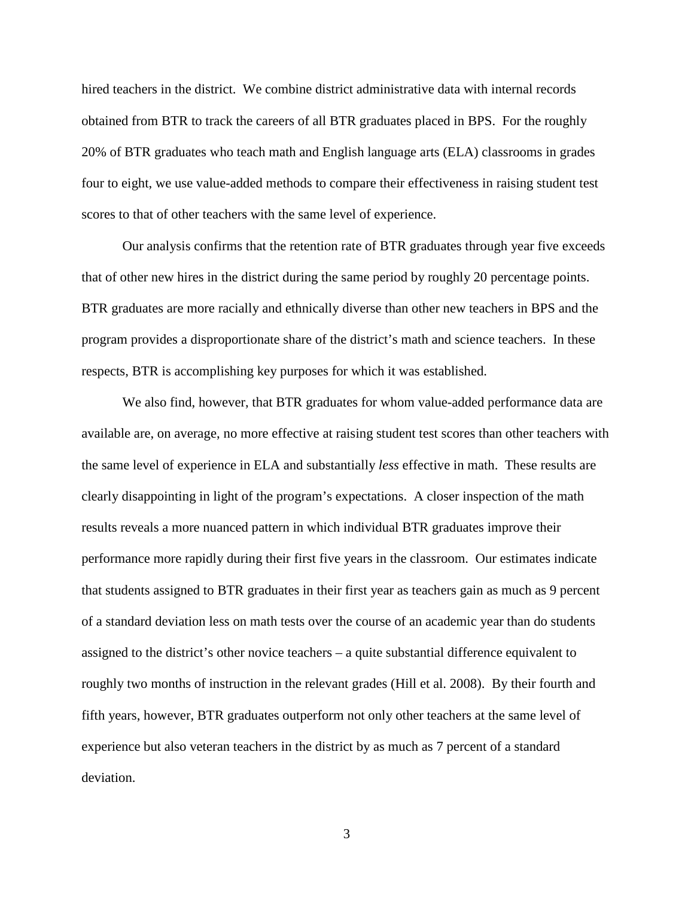hired teachers in the district. We combine district administrative data with internal records obtained from BTR to track the careers of all BTR graduates placed in BPS. For the roughly 20% of BTR graduates who teach math and English language arts (ELA) classrooms in grades four to eight, we use value-added methods to compare their effectiveness in raising student test scores to that of other teachers with the same level of experience.

Our analysis confirms that the retention rate of BTR graduates through year five exceeds that of other new hires in the district during the same period by roughly 20 percentage points. BTR graduates are more racially and ethnically diverse than other new teachers in BPS and the program provides a disproportionate share of the district's math and science teachers. In these respects, BTR is accomplishing key purposes for which it was established.

We also find, however, that BTR graduates for whom value-added performance data are available are, on average, no more effective at raising student test scores than other teachers with the same level of experience in ELA and substantially *less* effective in math. These results are clearly disappointing in light of the program's expectations. A closer inspection of the math results reveals a more nuanced pattern in which individual BTR graduates improve their performance more rapidly during their first five years in the classroom. Our estimates indicate that students assigned to BTR graduates in their first year as teachers gain as much as 9 percent of a standard deviation less on math tests over the course of an academic year than do students assigned to the district's other novice teachers – a quite substantial difference equivalent to roughly two months of instruction in the relevant grades (Hill et al. 2008). By their fourth and fifth years, however, BTR graduates outperform not only other teachers at the same level of experience but also veteran teachers in the district by as much as 7 percent of a standard deviation.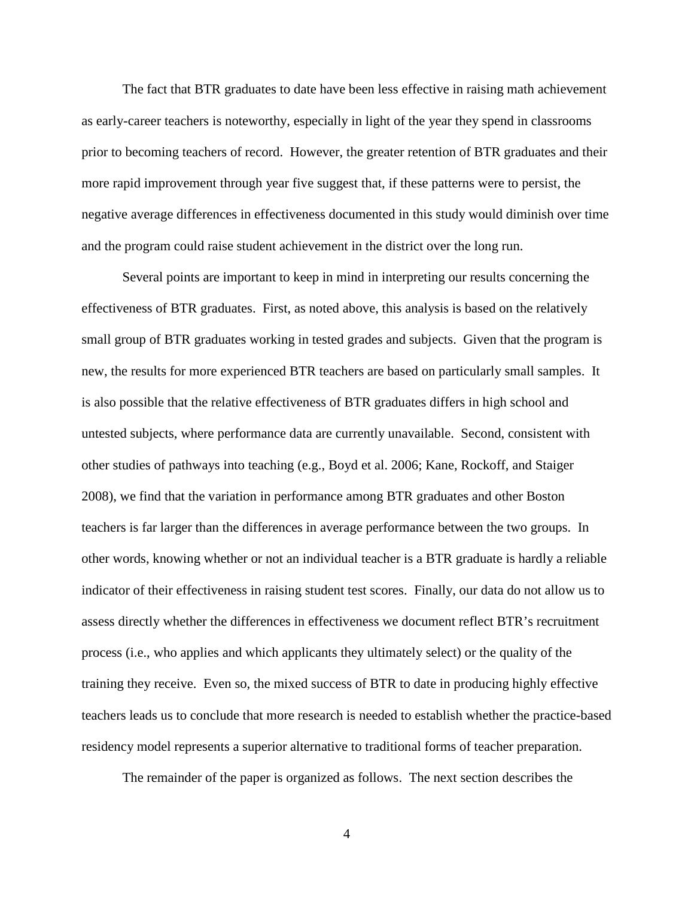The fact that BTR graduates to date have been less effective in raising math achievement as early-career teachers is noteworthy, especially in light of the year they spend in classrooms prior to becoming teachers of record. However, the greater retention of BTR graduates and their more rapid improvement through year five suggest that, if these patterns were to persist, the negative average differences in effectiveness documented in this study would diminish over time and the program could raise student achievement in the district over the long run.

Several points are important to keep in mind in interpreting our results concerning the effectiveness of BTR graduates. First, as noted above, this analysis is based on the relatively small group of BTR graduates working in tested grades and subjects. Given that the program is new, the results for more experienced BTR teachers are based on particularly small samples. It is also possible that the relative effectiveness of BTR graduates differs in high school and untested subjects, where performance data are currently unavailable. Second, consistent with other studies of pathways into teaching (e.g., Boyd et al. 2006; Kane, Rockoff, and Staiger 2008), we find that the variation in performance among BTR graduates and other Boston teachers is far larger than the differences in average performance between the two groups. In other words, knowing whether or not an individual teacher is a BTR graduate is hardly a reliable indicator of their effectiveness in raising student test scores. Finally, our data do not allow us to assess directly whether the differences in effectiveness we document reflect BTR's recruitment process (i.e., who applies and which applicants they ultimately select) or the quality of the training they receive. Even so, the mixed success of BTR to date in producing highly effective teachers leads us to conclude that more research is needed to establish whether the practice-based residency model represents a superior alternative to traditional forms of teacher preparation.

The remainder of the paper is organized as follows. The next section describes the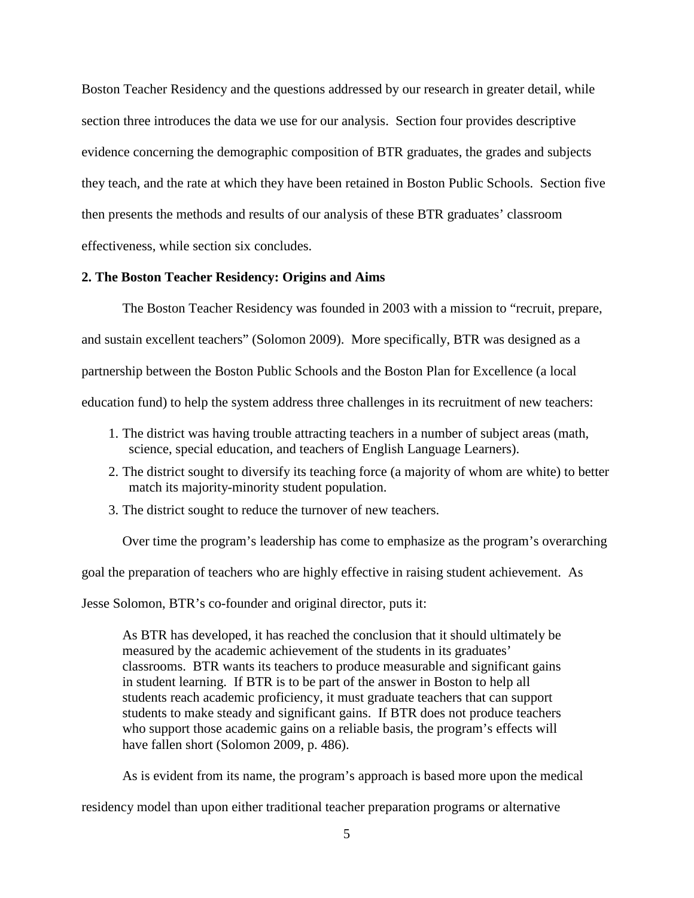Boston Teacher Residency and the questions addressed by our research in greater detail, while section three introduces the data we use for our analysis. Section four provides descriptive evidence concerning the demographic composition of BTR graduates, the grades and subjects they teach, and the rate at which they have been retained in Boston Public Schools. Section five then presents the methods and results of our analysis of these BTR graduates' classroom effectiveness, while section six concludes.

#### **2. The Boston Teacher Residency: Origins and Aims**

The Boston Teacher Residency was founded in 2003 with a mission to "recruit, prepare, and sustain excellent teachers" (Solomon 2009). More specifically, BTR was designed as a partnership between the Boston Public Schools and the Boston Plan for Excellence (a local education fund) to help the system address three challenges in its recruitment of new teachers:

- 1. The district was having trouble attracting teachers in a number of subject areas (math, science, special education, and teachers of English Language Learners).
- 2. The district sought to diversify its teaching force (a majority of whom are white) to better match its majority-minority student population.
- 3. The district sought to reduce the turnover of new teachers.

Over time the program's leadership has come to emphasize as the program's overarching

goal the preparation of teachers who are highly effective in raising student achievement. As

Jesse Solomon, BTR's co-founder and original director, puts it:

As BTR has developed, it has reached the conclusion that it should ultimately be measured by the academic achievement of the students in its graduates' classrooms. BTR wants its teachers to produce measurable and significant gains in student learning. If BTR is to be part of the answer in Boston to help all students reach academic proficiency, it must graduate teachers that can support students to make steady and significant gains. If BTR does not produce teachers who support those academic gains on a reliable basis, the program's effects will have fallen short (Solomon 2009, p. 486).

As is evident from its name, the program's approach is based more upon the medical

residency model than upon either traditional teacher preparation programs or alternative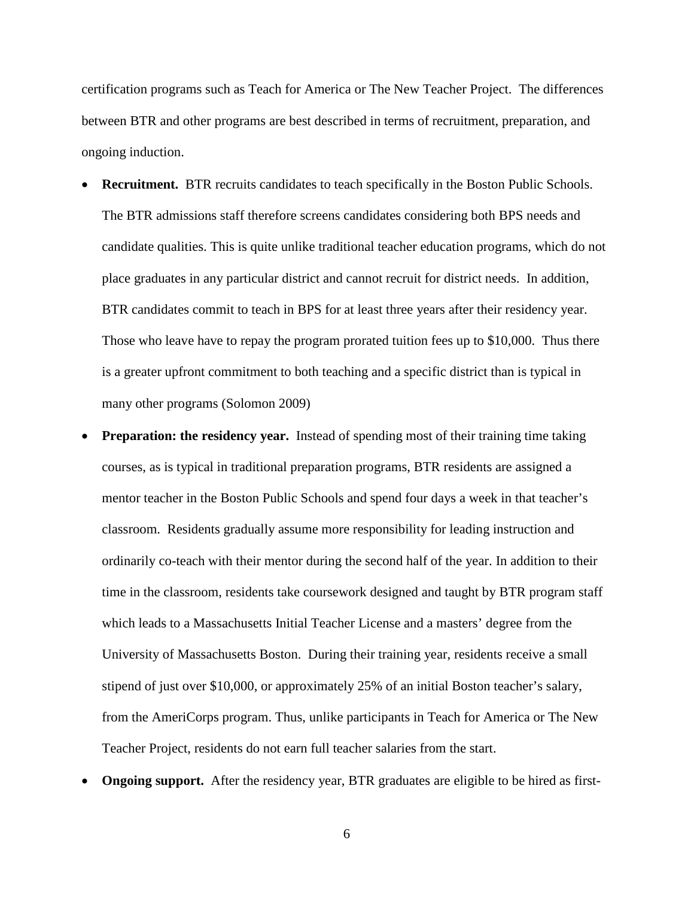certification programs such as Teach for America or The New Teacher Project. The differences between BTR and other programs are best described in terms of recruitment, preparation, and ongoing induction.

- **Recruitment.** BTR recruits candidates to teach specifically in the Boston Public Schools. The BTR admissions staff therefore screens candidates considering both BPS needs and candidate qualities. This is quite unlike traditional teacher education programs, which do not place graduates in any particular district and cannot recruit for district needs. In addition, BTR candidates commit to teach in BPS for at least three years after their residency year. Those who leave have to repay the program prorated tuition fees up to \$10,000. Thus there is a greater upfront commitment to both teaching and a specific district than is typical in many other programs (Solomon 2009)
- **Preparation: the residency year.** Instead of spending most of their training time taking courses, as is typical in traditional preparation programs, BTR residents are assigned a mentor teacher in the Boston Public Schools and spend four days a week in that teacher's classroom. Residents gradually assume more responsibility for leading instruction and ordinarily co-teach with their mentor during the second half of the year. In addition to their time in the classroom, residents take coursework designed and taught by BTR program staff which leads to a Massachusetts Initial Teacher License and a masters' degree from the University of Massachusetts Boston. During their training year, residents receive a small stipend of just over \$10,000, or approximately 25% of an initial Boston teacher's salary, from the AmeriCorps program. Thus, unlike participants in Teach for America or The New Teacher Project, residents do not earn full teacher salaries from the start.
- **Ongoing support.** After the residency year, BTR graduates are eligible to be hired as first-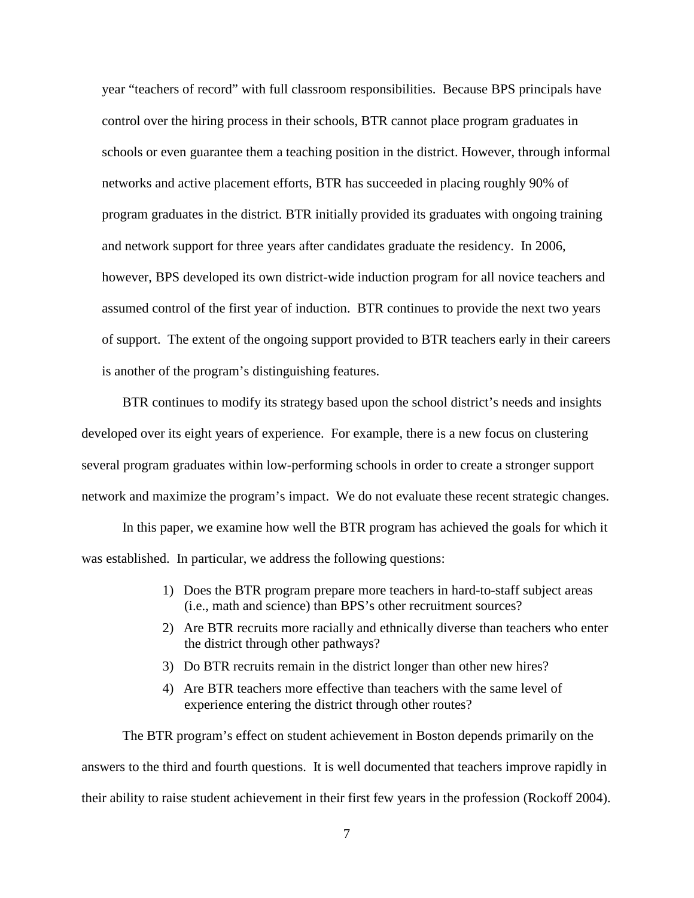year "teachers of record" with full classroom responsibilities. Because BPS principals have control over the hiring process in their schools, BTR cannot place program graduates in schools or even guarantee them a teaching position in the district. However, through informal networks and active placement efforts, BTR has succeeded in placing roughly 90% of program graduates in the district. BTR initially provided its graduates with ongoing training and network support for three years after candidates graduate the residency. In 2006, however, BPS developed its own district-wide induction program for all novice teachers and assumed control of the first year of induction. BTR continues to provide the next two years of support. The extent of the ongoing support provided to BTR teachers early in their careers is another of the program's distinguishing features.

BTR continues to modify its strategy based upon the school district's needs and insights developed over its eight years of experience. For example, there is a new focus on clustering several program graduates within low-performing schools in order to create a stronger support network and maximize the program's impact. We do not evaluate these recent strategic changes.

In this paper, we examine how well the BTR program has achieved the goals for which it was established. In particular, we address the following questions:

- 1) Does the BTR program prepare more teachers in hard-to-staff subject areas (i.e., math and science) than BPS's other recruitment sources?
- 2) Are BTR recruits more racially and ethnically diverse than teachers who enter the district through other pathways?
- 3) Do BTR recruits remain in the district longer than other new hires?
- 4) Are BTR teachers more effective than teachers with the same level of experience entering the district through other routes?

The BTR program's effect on student achievement in Boston depends primarily on the answers to the third and fourth questions. It is well documented that teachers improve rapidly in their ability to raise student achievement in their first few years in the profession (Rockoff 2004).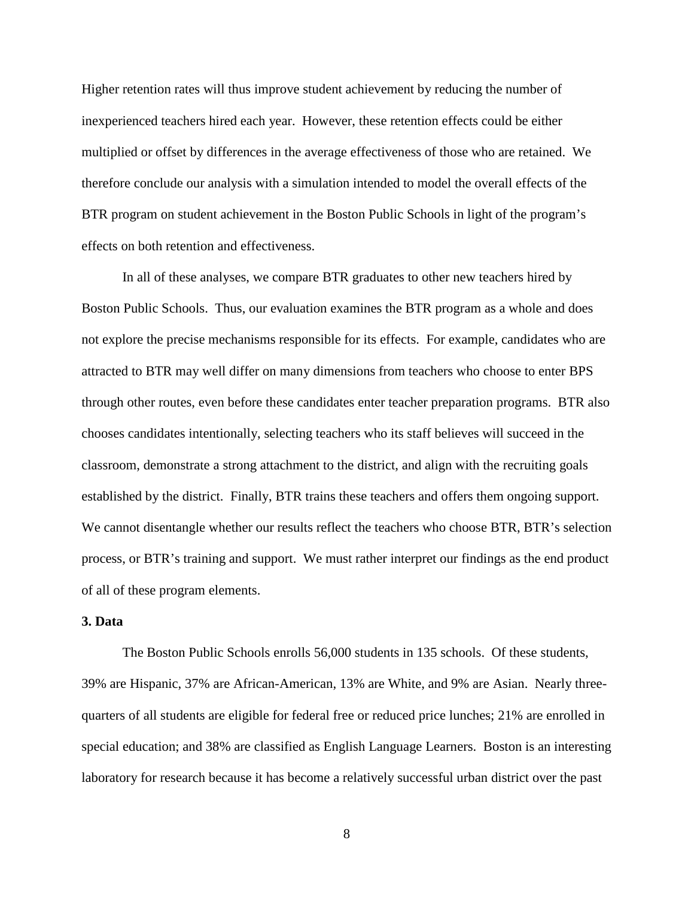Higher retention rates will thus improve student achievement by reducing the number of inexperienced teachers hired each year. However, these retention effects could be either multiplied or offset by differences in the average effectiveness of those who are retained. We therefore conclude our analysis with a simulation intended to model the overall effects of the BTR program on student achievement in the Boston Public Schools in light of the program's effects on both retention and effectiveness.

In all of these analyses, we compare BTR graduates to other new teachers hired by Boston Public Schools. Thus, our evaluation examines the BTR program as a whole and does not explore the precise mechanisms responsible for its effects. For example, candidates who are attracted to BTR may well differ on many dimensions from teachers who choose to enter BPS through other routes, even before these candidates enter teacher preparation programs. BTR also chooses candidates intentionally, selecting teachers who its staff believes will succeed in the classroom, demonstrate a strong attachment to the district, and align with the recruiting goals established by the district. Finally, BTR trains these teachers and offers them ongoing support. We cannot disentangle whether our results reflect the teachers who choose BTR, BTR's selection process, or BTR's training and support. We must rather interpret our findings as the end product of all of these program elements.

#### **3. Data**

The Boston Public Schools enrolls 56,000 students in 135 schools. Of these students, 39% are Hispanic, 37% are African-American, 13% are White, and 9% are Asian. Nearly threequarters of all students are eligible for federal free or reduced price lunches; 21% are enrolled in special education; and 38% are classified as English Language Learners. Boston is an interesting laboratory for research because it has become a relatively successful urban district over the past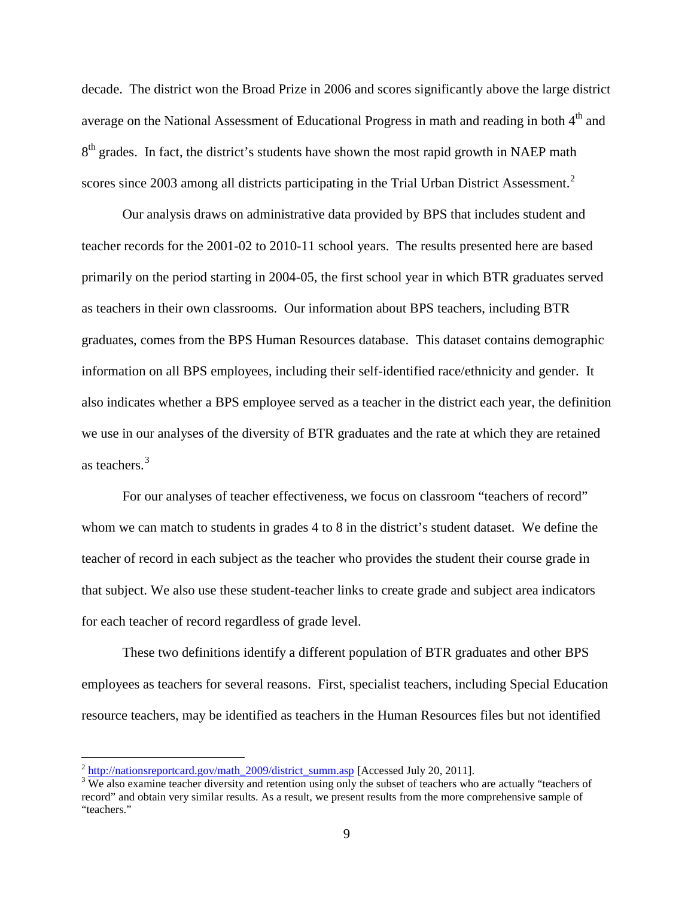decade. The district won the Broad Prize in 2006 and scores significantly above the large district average on the National Assessment of Educational Progress in math and reading in both 4<sup>th</sup> and  $8<sup>th</sup>$  grades. In fact, the district's students have shown the most rapid growth in NAEP math scores since [2](#page-10-0)003 among all districts participating in the Trial Urban District Assessment.<sup>2</sup>

Our analysis draws on administrative data provided by BPS that includes student and teacher records for the 2001-02 to 2010-11 school years. The results presented here are based primarily on the period starting in 2004-05, the first school year in which BTR graduates served as teachers in their own classrooms. Our information about BPS teachers, including BTR graduates, comes from the BPS Human Resources database. This dataset contains demographic information on all BPS employees, including their self-identified race/ethnicity and gender. It also indicates whether a BPS employee served as a teacher in the district each year, the definition we use in our analyses of the diversity of BTR graduates and the rate at which they are retained as teachers. [3](#page-10-1)

For our analyses of teacher effectiveness, we focus on classroom "teachers of record" whom we can match to students in grades 4 to 8 in the district's student dataset. We define the teacher of record in each subject as the teacher who provides the student their course grade in that subject. We also use these student-teacher links to create grade and subject area indicators for each teacher of record regardless of grade level.

These two definitions identify a different population of BTR graduates and other BPS employees as teachers for several reasons. First, specialist teachers, including Special Education resource teachers, may be identified as teachers in the Human Resources files but not identified

<span id="page-10-0"></span> $\frac{2 \text{ http://nationsreportcard.gov/math_2009/district_summ.asp}}{3 \text{ We also examine teacher diversity and retention using only the subset of teachers who are actually "teaches of the same text).}$  $\frac{2 \text{ http://nationsreportcard.gov/math_2009/district_summ.asp}}{3 \text{ We also examine teacher diversity and retention using only the subset of teachers who are actually "teaches of the same text).}$  $\frac{2 \text{ http://nationsreportcard.gov/math_2009/district_summ.asp}}{3 \text{ We also examine teacher diversity and retention using only the subset of teachers who are actually "teaches of the same text).}$ 

<span id="page-10-1"></span>record" and obtain very similar results. As a result, we present results from the more comprehensive sample of "teachers."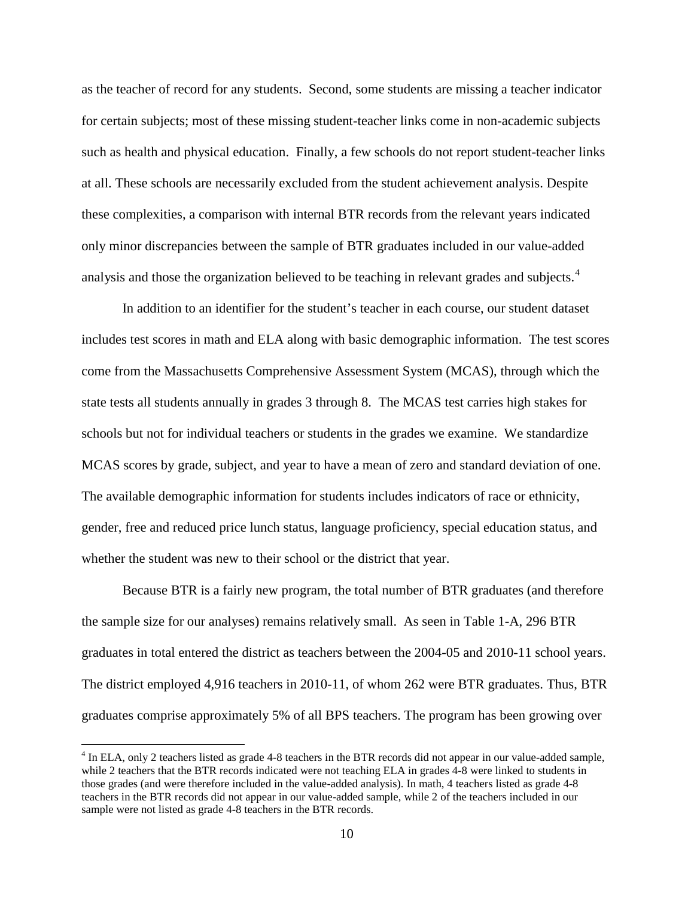as the teacher of record for any students. Second, some students are missing a teacher indicator for certain subjects; most of these missing student-teacher links come in non-academic subjects such as health and physical education. Finally, a few schools do not report student-teacher links at all. These schools are necessarily excluded from the student achievement analysis. Despite these complexities, a comparison with internal BTR records from the relevant years indicated only minor discrepancies between the sample of BTR graduates included in our value-added analysis and those the organization believed to be teaching in relevant grades and subjects.<sup>[4](#page-11-0)</sup>

In addition to an identifier for the student's teacher in each course, our student dataset includes test scores in math and ELA along with basic demographic information. The test scores come from the Massachusetts Comprehensive Assessment System (MCAS), through which the state tests all students annually in grades 3 through 8. The MCAS test carries high stakes for schools but not for individual teachers or students in the grades we examine. We standardize MCAS scores by grade, subject, and year to have a mean of zero and standard deviation of one. The available demographic information for students includes indicators of race or ethnicity, gender, free and reduced price lunch status, language proficiency, special education status, and whether the student was new to their school or the district that year.

Because BTR is a fairly new program, the total number of BTR graduates (and therefore the sample size for our analyses) remains relatively small. As seen in Table 1-A, 296 BTR graduates in total entered the district as teachers between the 2004-05 and 2010-11 school years. The district employed 4,916 teachers in 2010-11, of whom 262 were BTR graduates. Thus, BTR graduates comprise approximately 5% of all BPS teachers. The program has been growing over

<span id="page-11-0"></span><sup>&</sup>lt;sup>4</sup> In ELA, only 2 teachers listed as grade 4-8 teachers in the BTR records did not appear in our value-added sample, while 2 teachers that the BTR records indicated were not teaching ELA in grades 4-8 were linked to students in those grades (and were therefore included in the value-added analysis). In math, 4 teachers listed as grade 4-8 teachers in the BTR records did not appear in our value-added sample, while 2 of the teachers included in our sample were not listed as grade 4-8 teachers in the BTR records.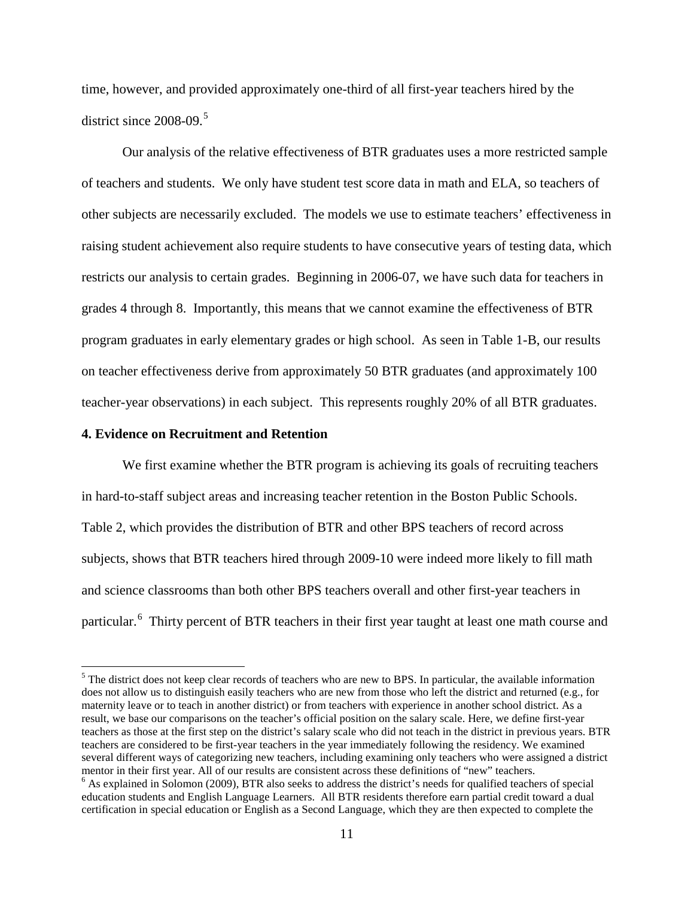time, however, and provided approximately one-third of all first-year teachers hired by the district since 2008-09.<sup>[5](#page-12-0)</sup>

Our analysis of the relative effectiveness of BTR graduates uses a more restricted sample of teachers and students. We only have student test score data in math and ELA, so teachers of other subjects are necessarily excluded. The models we use to estimate teachers' effectiveness in raising student achievement also require students to have consecutive years of testing data, which restricts our analysis to certain grades. Beginning in 2006-07, we have such data for teachers in grades 4 through 8. Importantly, this means that we cannot examine the effectiveness of BTR program graduates in early elementary grades or high school. As seen in Table 1-B, our results on teacher effectiveness derive from approximately 50 BTR graduates (and approximately 100 teacher-year observations) in each subject. This represents roughly 20% of all BTR graduates.

#### **4. Evidence on Recruitment and Retention**

 $\overline{a}$ 

We first examine whether the BTR program is achieving its goals of recruiting teachers in hard-to-staff subject areas and increasing teacher retention in the Boston Public Schools. Table 2, which provides the distribution of BTR and other BPS teachers of record across subjects, shows that BTR teachers hired through 2009-10 were indeed more likely to fill math and science classrooms than both other BPS teachers overall and other first-year teachers in particular.<sup>[6](#page-12-1)</sup> Thirty percent of BTR teachers in their first year taught at least one math course and

<span id="page-12-0"></span><sup>&</sup>lt;sup>5</sup> The district does not keep clear records of teachers who are new to BPS. In particular, the available information does not allow us to distinguish easily teachers who are new from those who left the district and returned (e.g., for maternity leave or to teach in another district) or from teachers with experience in another school district. As a result, we base our comparisons on the teacher's official position on the salary scale. Here, we define first-year teachers as those at the first step on the district's salary scale who did not teach in the district in previous years. BTR teachers are considered to be first-year teachers in the year immediately following the residency. We examined several different ways of categorizing new teachers, including examining only teachers who were assigned a district<br>mentor in their first year. All of our results are consistent across these definitions of "new" teachers.

<span id="page-12-1"></span> $6$  As explained in Solomon (2009), BTR also seeks to address the district's needs for qualified teachers of special education students and English Language Learners. All BTR residents therefore earn partial credit toward a dual certification in special education or English as a Second Language, which they are then expected to complete the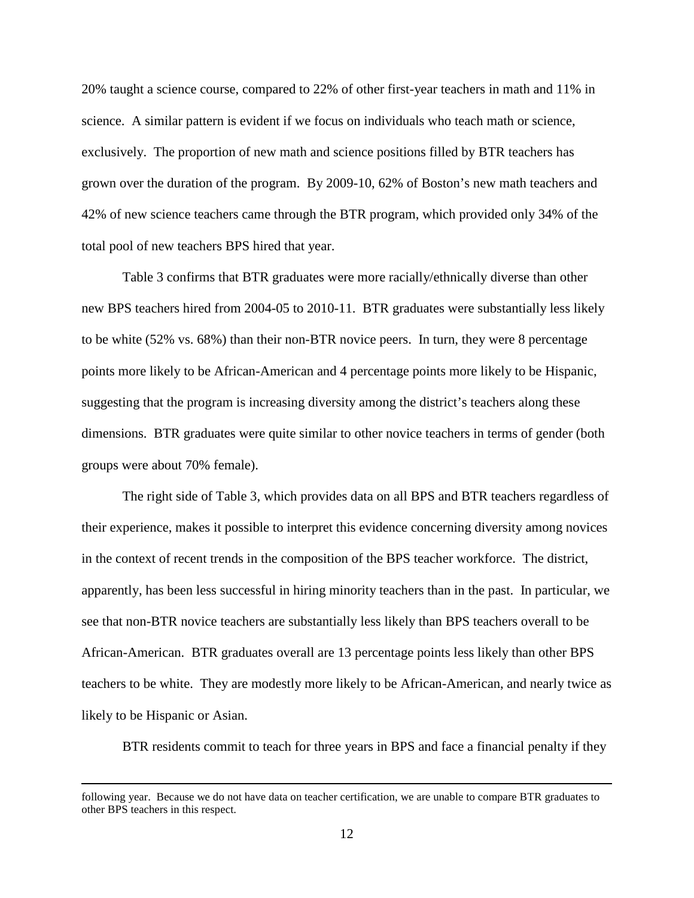20% taught a science course, compared to 22% of other first-year teachers in math and 11% in science. A similar pattern is evident if we focus on individuals who teach math or science, exclusively. The proportion of new math and science positions filled by BTR teachers has grown over the duration of the program. By 2009-10, 62% of Boston's new math teachers and 42% of new science teachers came through the BTR program, which provided only 34% of the total pool of new teachers BPS hired that year.

Table 3 confirms that BTR graduates were more racially/ethnically diverse than other new BPS teachers hired from 2004-05 to 2010-11. BTR graduates were substantially less likely to be white (52% vs. 68%) than their non-BTR novice peers. In turn, they were 8 percentage points more likely to be African-American and 4 percentage points more likely to be Hispanic, suggesting that the program is increasing diversity among the district's teachers along these dimensions. BTR graduates were quite similar to other novice teachers in terms of gender (both groups were about 70% female).

The right side of Table 3, which provides data on all BPS and BTR teachers regardless of their experience, makes it possible to interpret this evidence concerning diversity among novices in the context of recent trends in the composition of the BPS teacher workforce. The district, apparently, has been less successful in hiring minority teachers than in the past. In particular, we see that non-BTR novice teachers are substantially less likely than BPS teachers overall to be African-American. BTR graduates overall are 13 percentage points less likely than other BPS teachers to be white. They are modestly more likely to be African-American, and nearly twice as likely to be Hispanic or Asian.

BTR residents commit to teach for three years in BPS and face a financial penalty if they

following year. Because we do not have data on teacher certification, we are unable to compare BTR graduates to other BPS teachers in this respect.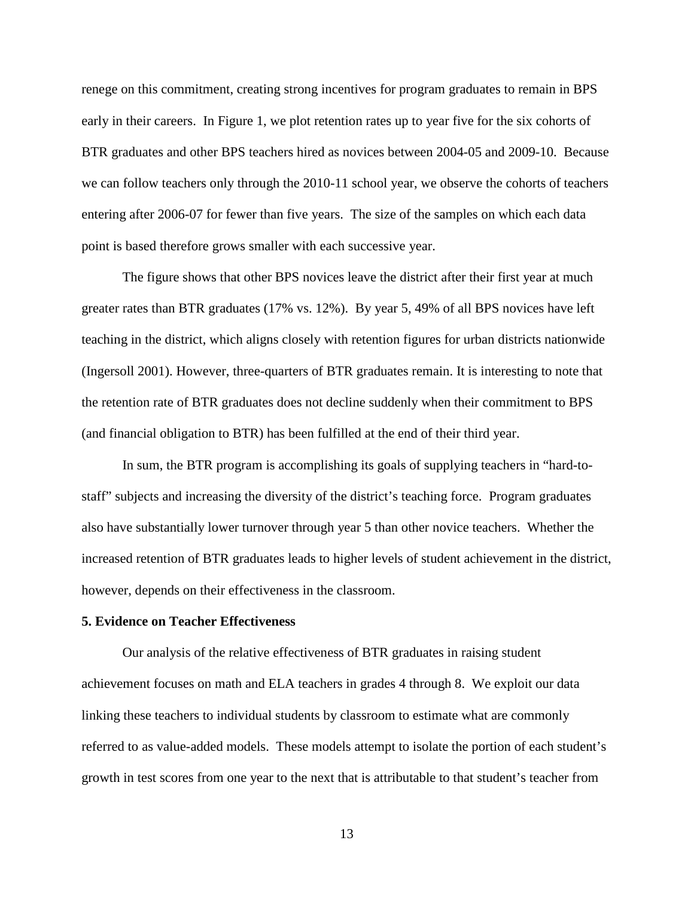renege on this commitment, creating strong incentives for program graduates to remain in BPS early in their careers. In Figure 1, we plot retention rates up to year five for the six cohorts of BTR graduates and other BPS teachers hired as novices between 2004-05 and 2009-10. Because we can follow teachers only through the 2010-11 school year, we observe the cohorts of teachers entering after 2006-07 for fewer than five years. The size of the samples on which each data point is based therefore grows smaller with each successive year.

The figure shows that other BPS novices leave the district after their first year at much greater rates than BTR graduates (17% vs. 12%). By year 5, 49% of all BPS novices have left teaching in the district, which aligns closely with retention figures for urban districts nationwide (Ingersoll 2001). However, three-quarters of BTR graduates remain. It is interesting to note that the retention rate of BTR graduates does not decline suddenly when their commitment to BPS (and financial obligation to BTR) has been fulfilled at the end of their third year.

In sum, the BTR program is accomplishing its goals of supplying teachers in "hard-tostaff" subjects and increasing the diversity of the district's teaching force. Program graduates also have substantially lower turnover through year 5 than other novice teachers. Whether the increased retention of BTR graduates leads to higher levels of student achievement in the district, however, depends on their effectiveness in the classroom.

#### **5. Evidence on Teacher Effectiveness**

Our analysis of the relative effectiveness of BTR graduates in raising student achievement focuses on math and ELA teachers in grades 4 through 8. We exploit our data linking these teachers to individual students by classroom to estimate what are commonly referred to as value-added models. These models attempt to isolate the portion of each student's growth in test scores from one year to the next that is attributable to that student's teacher from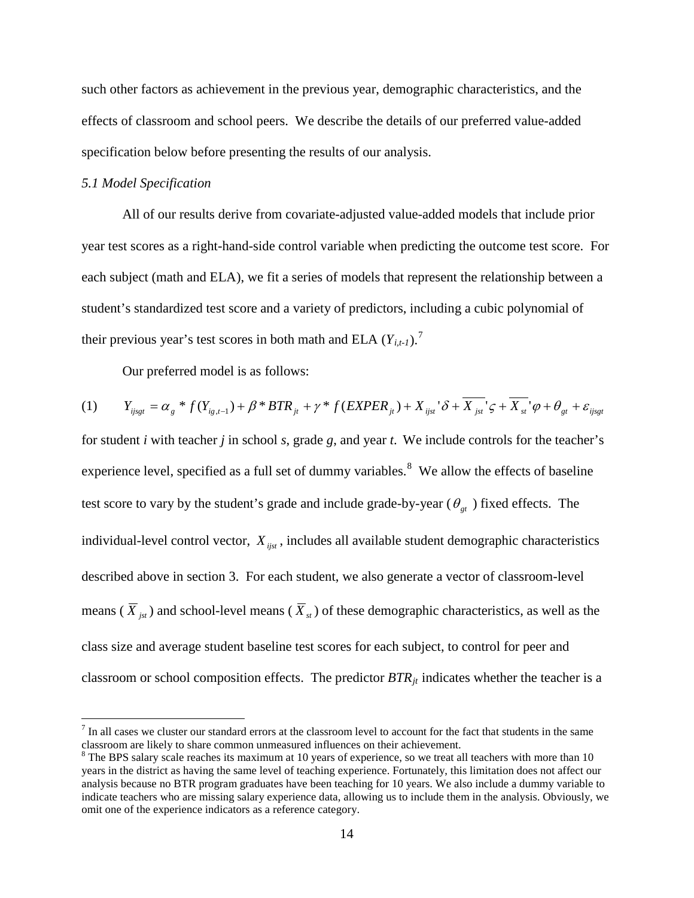such other factors as achievement in the previous year, demographic characteristics, and the effects of classroom and school peers. We describe the details of our preferred value-added specification below before presenting the results of our analysis.

## *5.1 Model Specification*

 $\overline{a}$ 

All of our results derive from covariate-adjusted value-added models that include prior year test scores as a right-hand-side control variable when predicting the outcome test score. For each subject (math and ELA), we fit a series of models that represent the relationship between a student's standardized test score and a variety of predictors, including a cubic polynomial of their previous year's test scores in both math and ELA  $(Y_{i,t-1})$ .<sup>[7](#page-15-0)</sup>

Our preferred model is as follows:

$$
(1) \qquad Y_{ijsgt} = \alpha_g * f(Y_{ig,t-1}) + \beta * BTR_{jt} + \gamma * f(EXPER_{jt}) + X_{ijst} \delta + \overline{X_{jst}} \varsigma + \overline{X_{st}} \varphi + \theta_{gt} + \varepsilon_{ijsgt}
$$

for student *i* with teacher *j* in school *s*, grade *g*, and year *t*. We include controls for the teacher's experience level, specified as a full set of dummy variables.<sup>[8](#page-15-1)</sup> We allow the effects of baseline test score to vary by the student's grade and include grade-by-year ( $\theta_{gt}$ ) fixed effects. The individual-level control vector,  $X_{i,jst}$ , includes all available student demographic characteristics described above in section 3. For each student, we also generate a vector of classroom-level means ( $\overline{X}_{ist}$ ) and school-level means ( $\overline{X}_{st}$ ) of these demographic characteristics, as well as the class size and average student baseline test scores for each subject, to control for peer and classroom or school composition effects. The predictor  $BTR_{jt}$  indicates whether the teacher is a

<span id="page-15-0"></span> $<sup>7</sup>$  In all cases we cluster our standard errors at the classroom level to account for the fact that students in the same</sup> classroom are likely to share common unmeasured influences on their achievement.

<span id="page-15-1"></span><sup>&</sup>lt;sup>8</sup> The BPS salary scale reaches its maximum at 10 years of experience, so we treat all teachers with more than 10 years in the district as having the same level of teaching experience. Fortunately, this limitation does not affect our analysis because no BTR program graduates have been teaching for 10 years. We also include a dummy variable to indicate teachers who are missing salary experience data, allowing us to include them in the analysis. Obviously, we omit one of the experience indicators as a reference category.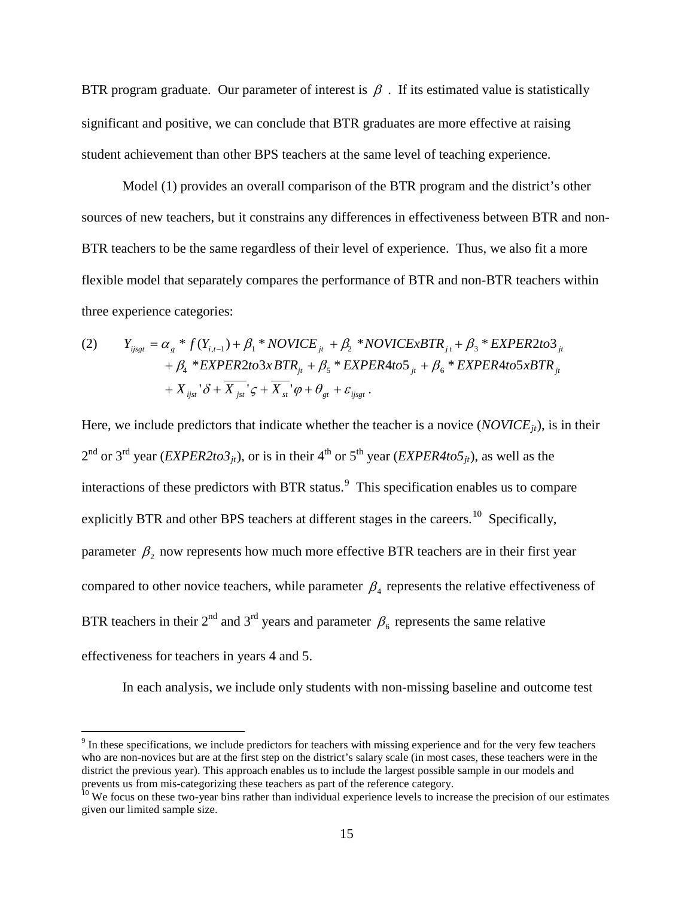BTR program graduate. Our parameter of interest is  $\beta$ . If its estimated value is statistically significant and positive, we can conclude that BTR graduates are more effective at raising student achievement than other BPS teachers at the same level of teaching experience.

Model (1) provides an overall comparison of the BTR program and the district's other sources of new teachers, but it constrains any differences in effectiveness between BTR and non-BTR teachers to be the same regardless of their level of experience. Thus, we also fit a more flexible model that separately compares the performance of BTR and non-BTR teachers within three experience categories:

(2) 
$$
Y_{ijsgt} = \alpha_g * f(Y_{i,t-1}) + \beta_1 * NOVICE_{jt} + \beta_2 * NOVICExBTR_{jt} + \beta_3 * EXPER2to3_{jt} + \beta_4 * EXPER2to3xBTR_{jt} + \beta_5 * EXPER4to5_{jt} + \beta_6 * EXPER4to5xBTR_{jt} + X_{ijst} \delta + \overline{X}_{jst} \delta + \overline{X}_{st} \delta + \overline{X}_{st} \delta + \overline{X}_{st} \delta + \beta_7 * E_{ijsgt}
$$

Here, we include predictors that indicate whether the teacher is a novice  $(NOVICE<sub>it</sub>)$ , is in their  $2<sup>nd</sup>$  or 3<sup>rd</sup> year (*EXPER2to3<sub>jt</sub>*), or is in their 4<sup>th</sup> or 5<sup>th</sup> year (*EXPER4to5<sub>it</sub>*), as well as the interactions of these predictors with BTR status.<sup>[9](#page-16-0)</sup> This specification enables us to compare explicitly BTR and other BPS teachers at different stages in the careers.<sup>[10](#page-16-1)</sup> Specifically, parameter  $\beta_2$  now represents how much more effective BTR teachers are in their first year compared to other novice teachers, while parameter  $\beta_4$  represents the relative effectiveness of BTR teachers in their  $2^{nd}$  and  $3^{rd}$  years and parameter  $\beta_6$  represents the same relative effectiveness for teachers in years 4 and 5.

In each analysis, we include only students with non-missing baseline and outcome test

<span id="page-16-0"></span><sup>9</sup> In these specifications, we include predictors for teachers with missing experience and for the very few teachers who are non-novices but are at the first step on the district's salary scale (in most cases, these teachers were in the district the previous year). This approach enables us to include the largest possible sample in our models and prevents us from mis-categorizing these teachers as part of the reference category.<br><sup>10</sup> We focus on these two-year bins rather than individual experience levels to increase the precision of our estimates

<span id="page-16-1"></span>given our limited sample size.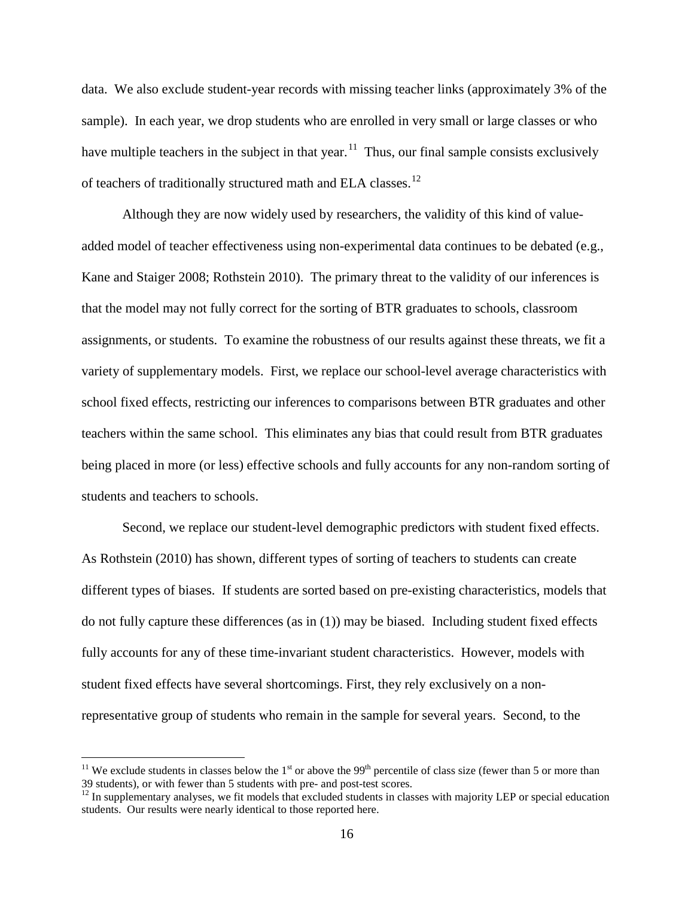data. We also exclude student-year records with missing teacher links (approximately 3% of the sample). In each year, we drop students who are enrolled in very small or large classes or who have multiple teachers in the subject in that year.<sup>11</sup> Thus, our final sample consists exclusively of teachers of traditionally structured math and ELA classes.<sup>[12](#page-17-1)</sup>

Although they are now widely used by researchers, the validity of this kind of valueadded model of teacher effectiveness using non-experimental data continues to be debated (e.g., Kane and Staiger 2008; Rothstein 2010). The primary threat to the validity of our inferences is that the model may not fully correct for the sorting of BTR graduates to schools, classroom assignments, or students. To examine the robustness of our results against these threats, we fit a variety of supplementary models. First, we replace our school-level average characteristics with school fixed effects, restricting our inferences to comparisons between BTR graduates and other teachers within the same school. This eliminates any bias that could result from BTR graduates being placed in more (or less) effective schools and fully accounts for any non-random sorting of students and teachers to schools.

Second, we replace our student-level demographic predictors with student fixed effects. As Rothstein (2010) has shown, different types of sorting of teachers to students can create different types of biases. If students are sorted based on pre-existing characteristics, models that do not fully capture these differences (as in (1)) may be biased. Including student fixed effects fully accounts for any of these time-invariant student characteristics. However, models with student fixed effects have several shortcomings. First, they rely exclusively on a nonrepresentative group of students who remain in the sample for several years. Second, to the

<span id="page-17-0"></span><sup>&</sup>lt;sup>11</sup> We exclude students in classes below the 1<sup>st</sup> or above the 99<sup>th</sup> percentile of class size (fewer than 5 or more than 39 students), or with fewer than 5 students with pre- and post-test scores.

<span id="page-17-1"></span> $12$  In supplementary analyses, we fit models that excluded students in classes with majority LEP or special education students. Our results were nearly identical to those reported here.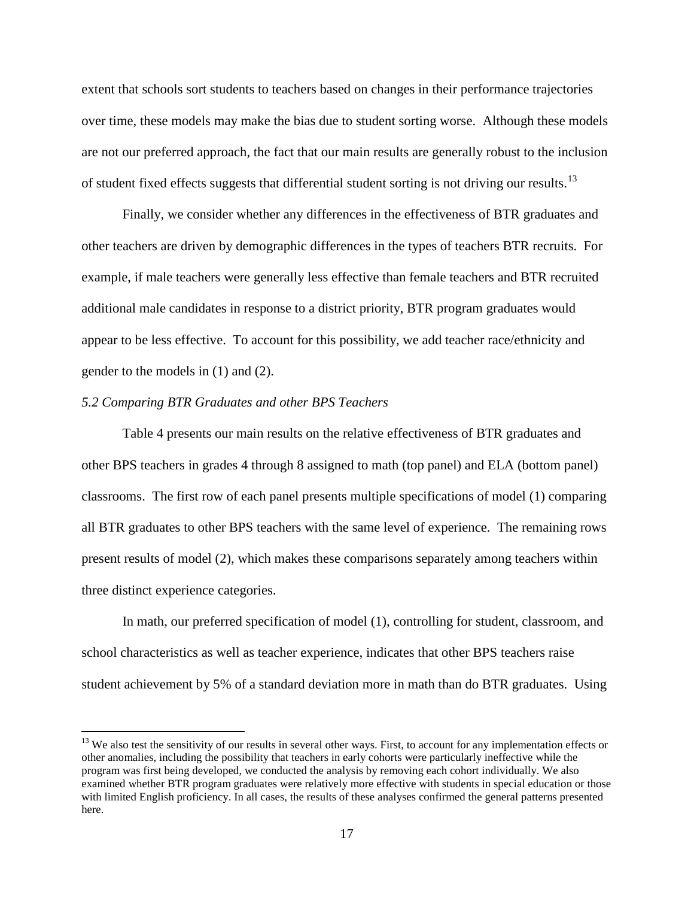extent that schools sort students to teachers based on changes in their performance trajectories over time, these models may make the bias due to student sorting worse. Although these models are not our preferred approach, the fact that our main results are generally robust to the inclusion of student fixed effects suggests that differential student sorting is not driving our results.<sup>[13](#page-18-0)</sup>

Finally, we consider whether any differences in the effectiveness of BTR graduates and other teachers are driven by demographic differences in the types of teachers BTR recruits. For example, if male teachers were generally less effective than female teachers and BTR recruited additional male candidates in response to a district priority, BTR program graduates would appear to be less effective. To account for this possibility, we add teacher race/ethnicity and gender to the models in (1) and (2).

### *5.2 Comparing BTR Graduates and other BPS Teachers*

 $\overline{a}$ 

Table 4 presents our main results on the relative effectiveness of BTR graduates and other BPS teachers in grades 4 through 8 assigned to math (top panel) and ELA (bottom panel) classrooms. The first row of each panel presents multiple specifications of model (1) comparing all BTR graduates to other BPS teachers with the same level of experience. The remaining rows present results of model (2), which makes these comparisons separately among teachers within three distinct experience categories.

In math, our preferred specification of model (1), controlling for student, classroom, and school characteristics as well as teacher experience, indicates that other BPS teachers raise student achievement by 5% of a standard deviation more in math than do BTR graduates. Using

<span id="page-18-0"></span> $<sup>13</sup>$  We also test the sensitivity of our results in several other ways. First, to account for any implementation effects or</sup> other anomalies, including the possibility that teachers in early cohorts were particularly ineffective while the program was first being developed, we conducted the analysis by removing each cohort individually. We also examined whether BTR program graduates were relatively more effective with students in special education or those with limited English proficiency. In all cases, the results of these analyses confirmed the general patterns presented here.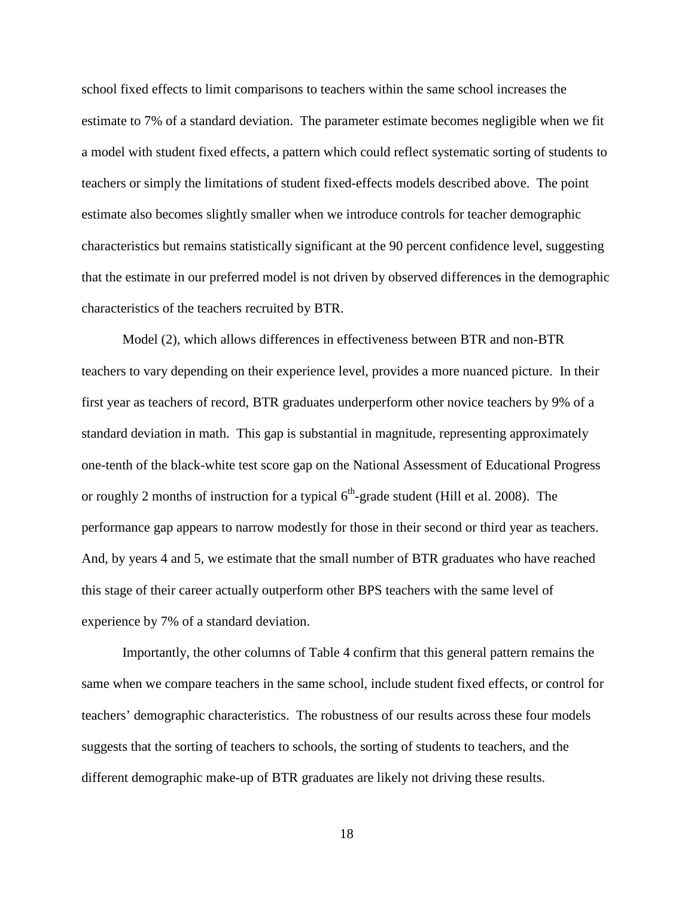school fixed effects to limit comparisons to teachers within the same school increases the estimate to 7% of a standard deviation. The parameter estimate becomes negligible when we fit a model with student fixed effects, a pattern which could reflect systematic sorting of students to teachers or simply the limitations of student fixed-effects models described above. The point estimate also becomes slightly smaller when we introduce controls for teacher demographic characteristics but remains statistically significant at the 90 percent confidence level, suggesting that the estimate in our preferred model is not driven by observed differences in the demographic characteristics of the teachers recruited by BTR.

Model (2), which allows differences in effectiveness between BTR and non-BTR teachers to vary depending on their experience level, provides a more nuanced picture. In their first year as teachers of record, BTR graduates underperform other novice teachers by 9% of a standard deviation in math. This gap is substantial in magnitude, representing approximately one-tenth of the black-white test score gap on the National Assessment of Educational Progress or roughly 2 months of instruction for a typical  $6<sup>th</sup>$ -grade student (Hill et al. 2008). The performance gap appears to narrow modestly for those in their second or third year as teachers. And, by years 4 and 5, we estimate that the small number of BTR graduates who have reached this stage of their career actually outperform other BPS teachers with the same level of experience by 7% of a standard deviation.

Importantly, the other columns of Table 4 confirm that this general pattern remains the same when we compare teachers in the same school, include student fixed effects, or control for teachers' demographic characteristics. The robustness of our results across these four models suggests that the sorting of teachers to schools, the sorting of students to teachers, and the different demographic make-up of BTR graduates are likely not driving these results.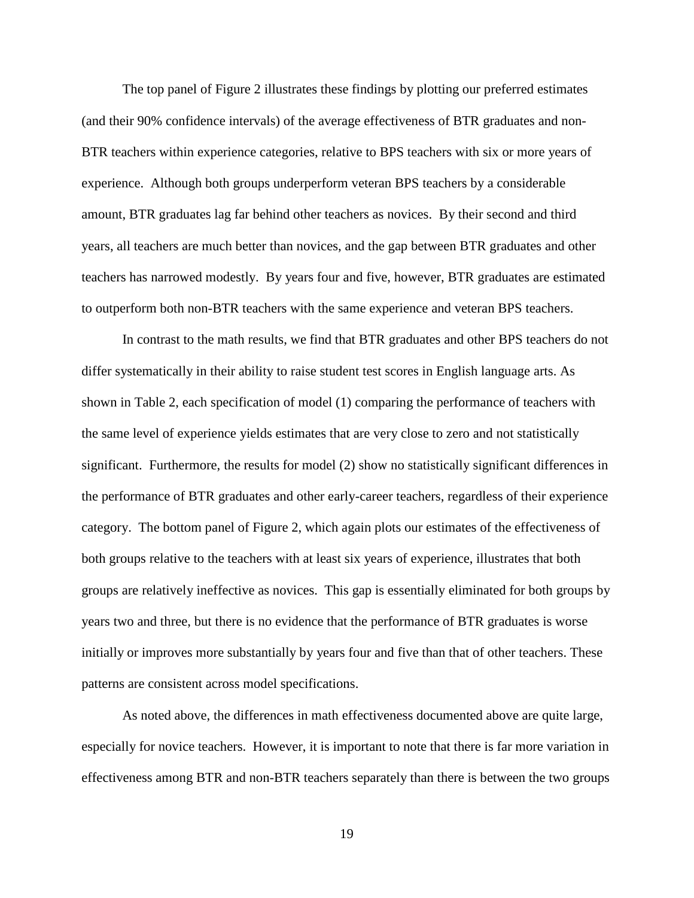The top panel of Figure 2 illustrates these findings by plotting our preferred estimates (and their 90% confidence intervals) of the average effectiveness of BTR graduates and non-BTR teachers within experience categories, relative to BPS teachers with six or more years of experience. Although both groups underperform veteran BPS teachers by a considerable amount, BTR graduates lag far behind other teachers as novices. By their second and third years, all teachers are much better than novices, and the gap between BTR graduates and other teachers has narrowed modestly. By years four and five, however, BTR graduates are estimated to outperform both non-BTR teachers with the same experience and veteran BPS teachers.

In contrast to the math results, we find that BTR graduates and other BPS teachers do not differ systematically in their ability to raise student test scores in English language arts. As shown in Table 2, each specification of model (1) comparing the performance of teachers with the same level of experience yields estimates that are very close to zero and not statistically significant. Furthermore, the results for model (2) show no statistically significant differences in the performance of BTR graduates and other early-career teachers, regardless of their experience category. The bottom panel of Figure 2, which again plots our estimates of the effectiveness of both groups relative to the teachers with at least six years of experience, illustrates that both groups are relatively ineffective as novices. This gap is essentially eliminated for both groups by years two and three, but there is no evidence that the performance of BTR graduates is worse initially or improves more substantially by years four and five than that of other teachers. These patterns are consistent across model specifications.

As noted above, the differences in math effectiveness documented above are quite large, especially for novice teachers. However, it is important to note that there is far more variation in effectiveness among BTR and non-BTR teachers separately than there is between the two groups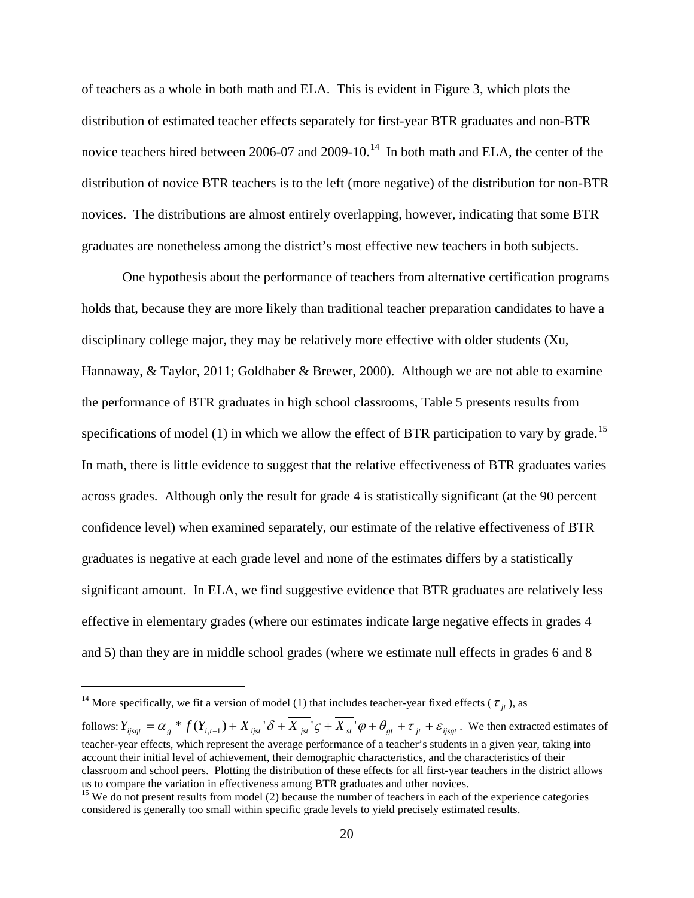of teachers as a whole in both math and ELA. This is evident in Figure 3, which plots the distribution of estimated teacher effects separately for first-year BTR graduates and non-BTR novice teachers hired between 2006-07 and 2009-10.<sup>14</sup> In both math and ELA, the center of the distribution of novice BTR teachers is to the left (more negative) of the distribution for non-BTR novices. The distributions are almost entirely overlapping, however, indicating that some BTR graduates are nonetheless among the district's most effective new teachers in both subjects.

One hypothesis about the performance of teachers from alternative certification programs holds that, because they are more likely than traditional teacher preparation candidates to have a disciplinary college major, they may be relatively more effective with older students (Xu, Hannaway, & Taylor, 2011; Goldhaber & Brewer, 2000). Although we are not able to examine the performance of BTR graduates in high school classrooms, Table 5 presents results from specifications of model (1) in which we allow the effect of BTR participation to vary by grade.<sup>[15](#page-21-1)</sup> In math, there is little evidence to suggest that the relative effectiveness of BTR graduates varies across grades. Although only the result for grade 4 is statistically significant (at the 90 percent confidence level) when examined separately, our estimate of the relative effectiveness of BTR graduates is negative at each grade level and none of the estimates differs by a statistically significant amount. In ELA, we find suggestive evidence that BTR graduates are relatively less effective in elementary grades (where our estimates indicate large negative effects in grades 4 and 5) than they are in middle school grades (where we estimate null effects in grades 6 and 8

<span id="page-21-0"></span><sup>&</sup>lt;sup>14</sup> More specifically, we fit a version of model (1) that includes teacher-year fixed effects ( $\tau_{it}$ ), as

follows:  $Y_{ijsgt} = \alpha_g * f(Y_{i,t-1}) + X_{ijst} \cdot \delta + \overline{X_{jst}} \cdot \varsigma + \overline{X_{st}} \cdot \varphi + \theta_{gt} + \tau_{jt} + \varepsilon_{ijsgt}$ . We then extracted estimates of teacher-year effects, which represent the average performance of a teacher's students in a given year, taking into account their initial level of achievement, their demographic characteristics, and the characteristics of their classroom and school peers. Plotting the distribution of these effects for all first-year teachers in the district allows us to compare the variation in effectiveness among BTR graduates and other novices.<br><sup>15</sup> We do not present results from model (2) because the number of teachers in each of the experience categories

<span id="page-21-1"></span>considered is generally too small within specific grade levels to yield precisely estimated results.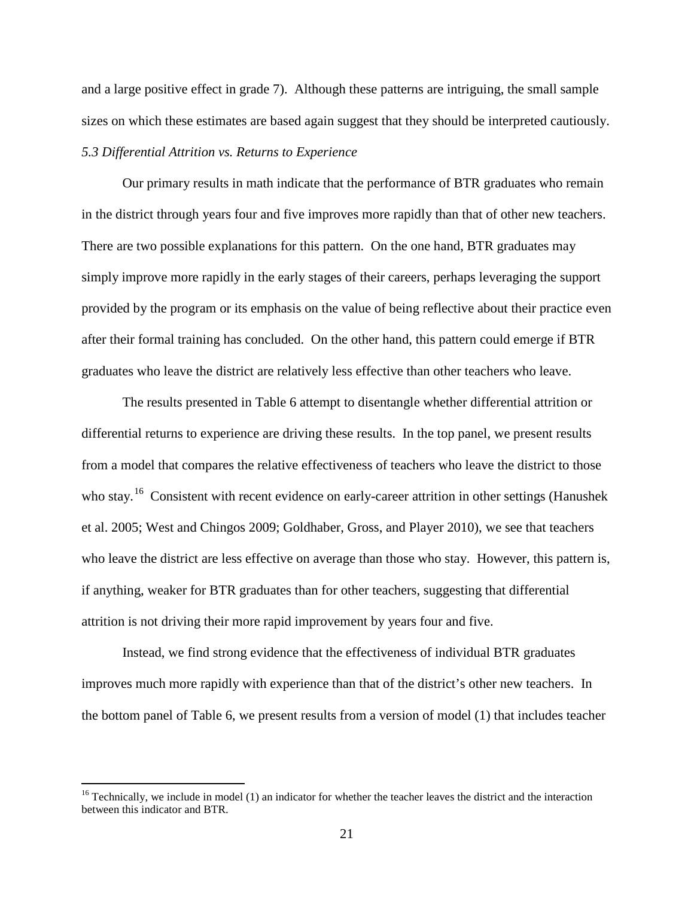and a large positive effect in grade 7). Although these patterns are intriguing, the small sample sizes on which these estimates are based again suggest that they should be interpreted cautiously. *5.3 Differential Attrition vs. Returns to Experience*

Our primary results in math indicate that the performance of BTR graduates who remain in the district through years four and five improves more rapidly than that of other new teachers. There are two possible explanations for this pattern. On the one hand, BTR graduates may simply improve more rapidly in the early stages of their careers, perhaps leveraging the support provided by the program or its emphasis on the value of being reflective about their practice even after their formal training has concluded. On the other hand, this pattern could emerge if BTR graduates who leave the district are relatively less effective than other teachers who leave.

The results presented in Table 6 attempt to disentangle whether differential attrition or differential returns to experience are driving these results. In the top panel, we present results from a model that compares the relative effectiveness of teachers who leave the district to those who stay.<sup>16</sup> Consistent with recent evidence on early-career attrition in other settings (Hanushek et al. 2005; West and Chingos 2009; Goldhaber, Gross, and Player 2010), we see that teachers who leave the district are less effective on average than those who stay. However, this pattern is, if anything, weaker for BTR graduates than for other teachers, suggesting that differential attrition is not driving their more rapid improvement by years four and five.

Instead, we find strong evidence that the effectiveness of individual BTR graduates improves much more rapidly with experience than that of the district's other new teachers. In the bottom panel of Table 6, we present results from a version of model (1) that includes teacher

<span id="page-22-0"></span> $16$  Technically, we include in model (1) an indicator for whether the teacher leaves the district and the interaction between this indicator and BTR.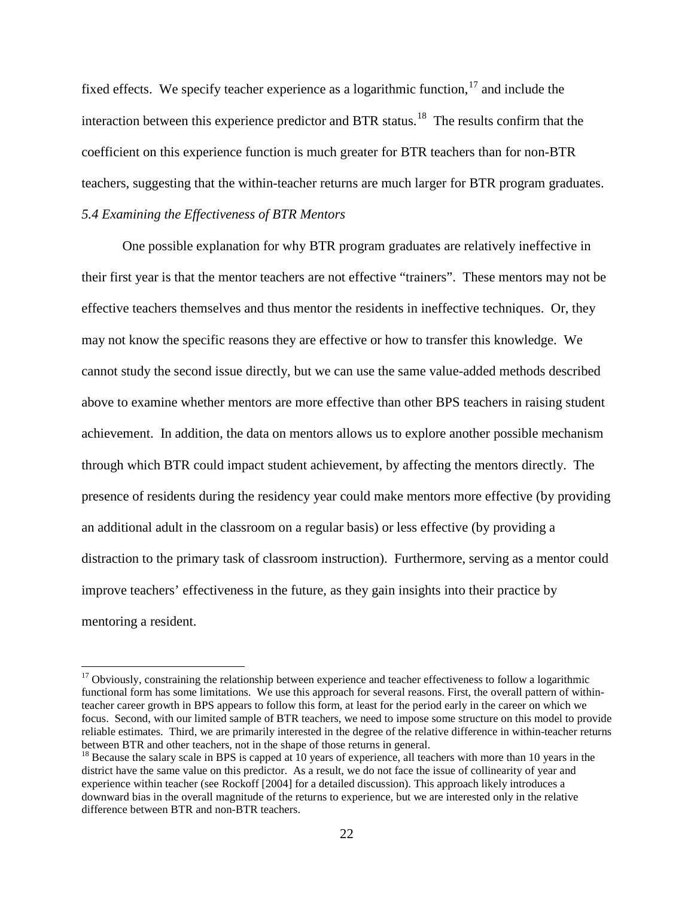fixed effects. We specify teacher experience as a logarithmic function,  $17$  and include the interaction between this experience predictor and BTR status.<sup>18</sup> The results confirm that the coefficient on this experience function is much greater for BTR teachers than for non-BTR teachers, suggesting that the within-teacher returns are much larger for BTR program graduates. *5.4 Examining the Effectiveness of BTR Mentors*

One possible explanation for why BTR program graduates are relatively ineffective in their first year is that the mentor teachers are not effective "trainers". These mentors may not be effective teachers themselves and thus mentor the residents in ineffective techniques. Or, they may not know the specific reasons they are effective or how to transfer this knowledge. We cannot study the second issue directly, but we can use the same value-added methods described above to examine whether mentors are more effective than other BPS teachers in raising student achievement. In addition, the data on mentors allows us to explore another possible mechanism through which BTR could impact student achievement, by affecting the mentors directly. The presence of residents during the residency year could make mentors more effective (by providing an additional adult in the classroom on a regular basis) or less effective (by providing a distraction to the primary task of classroom instruction). Furthermore, serving as a mentor could improve teachers' effectiveness in the future, as they gain insights into their practice by mentoring a resident.

<span id="page-23-0"></span> $17$  Obviously, constraining the relationship between experience and teacher effectiveness to follow a logarithmic functional form has some limitations. We use this approach for several reasons. First, the overall pattern of withinteacher career growth in BPS appears to follow this form, at least for the period early in the career on which we focus. Second, with our limited sample of BTR teachers, we need to impose some structure on this model to provide reliable estimates. Third, we are primarily interested in the degree of the relative difference in within-teacher returns between BTR and other teachers, not in the shape of those returns in general.

<span id="page-23-1"></span> $18$  Because the salary scale in BPS is capped at 10 years of experience, all teachers with more than 10 years in the district have the same value on this predictor. As a result, we do not face the issue of collinearity of year and experience within teacher (see Rockoff [2004] for a detailed discussion). This approach likely introduces a downward bias in the overall magnitude of the returns to experience, but we are interested only in the relative difference between BTR and non-BTR teachers.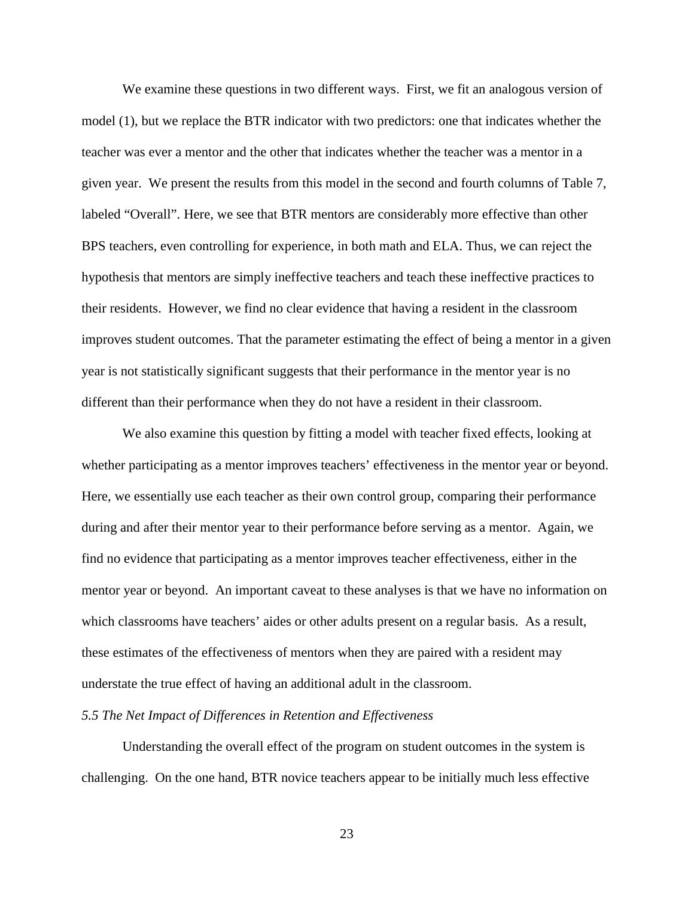We examine these questions in two different ways. First, we fit an analogous version of model (1), but we replace the BTR indicator with two predictors: one that indicates whether the teacher was ever a mentor and the other that indicates whether the teacher was a mentor in a given year. We present the results from this model in the second and fourth columns of Table 7, labeled "Overall". Here, we see that BTR mentors are considerably more effective than other BPS teachers, even controlling for experience, in both math and ELA. Thus, we can reject the hypothesis that mentors are simply ineffective teachers and teach these ineffective practices to their residents. However, we find no clear evidence that having a resident in the classroom improves student outcomes. That the parameter estimating the effect of being a mentor in a given year is not statistically significant suggests that their performance in the mentor year is no different than their performance when they do not have a resident in their classroom.

We also examine this question by fitting a model with teacher fixed effects, looking at whether participating as a mentor improves teachers' effectiveness in the mentor year or beyond. Here, we essentially use each teacher as their own control group, comparing their performance during and after their mentor year to their performance before serving as a mentor. Again, we find no evidence that participating as a mentor improves teacher effectiveness, either in the mentor year or beyond. An important caveat to these analyses is that we have no information on which classrooms have teachers' aides or other adults present on a regular basis. As a result, these estimates of the effectiveness of mentors when they are paired with a resident may understate the true effect of having an additional adult in the classroom.

#### *5.5 The Net Impact of Differences in Retention and Effectiveness*

Understanding the overall effect of the program on student outcomes in the system is challenging. On the one hand, BTR novice teachers appear to be initially much less effective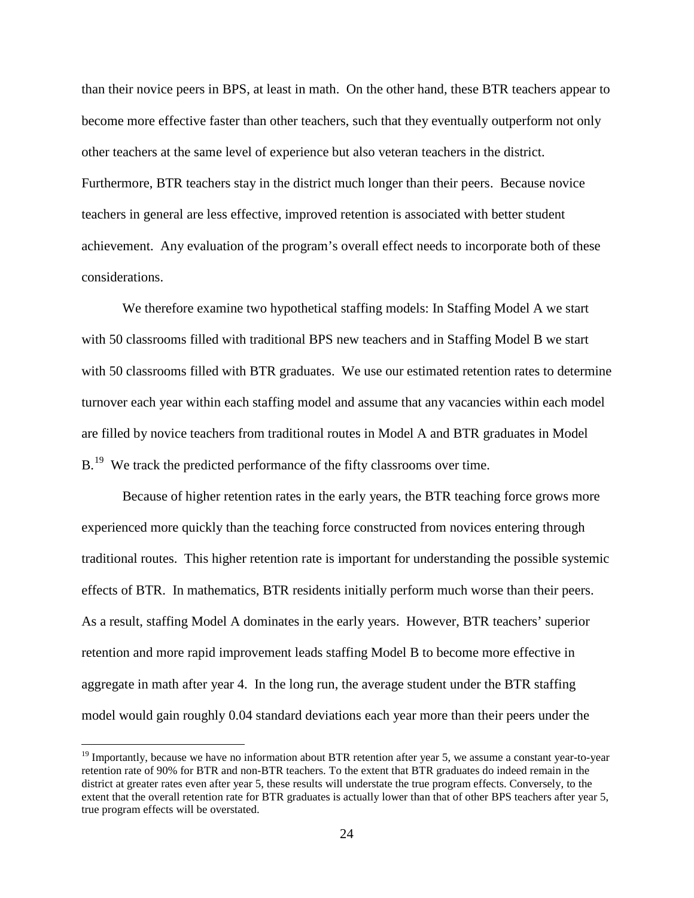than their novice peers in BPS, at least in math. On the other hand, these BTR teachers appear to become more effective faster than other teachers, such that they eventually outperform not only other teachers at the same level of experience but also veteran teachers in the district. Furthermore, BTR teachers stay in the district much longer than their peers. Because novice teachers in general are less effective, improved retention is associated with better student achievement. Any evaluation of the program's overall effect needs to incorporate both of these considerations.

We therefore examine two hypothetical staffing models: In Staffing Model A we start with 50 classrooms filled with traditional BPS new teachers and in Staffing Model B we start with 50 classrooms filled with BTR graduates. We use our estimated retention rates to determine turnover each year within each staffing model and assume that any vacancies within each model are filled by novice teachers from traditional routes in Model A and BTR graduates in Model  $B<sup>19</sup>$  We track the predicted performance of the fifty classrooms over time.

Because of higher retention rates in the early years, the BTR teaching force grows more experienced more quickly than the teaching force constructed from novices entering through traditional routes. This higher retention rate is important for understanding the possible systemic effects of BTR. In mathematics, BTR residents initially perform much worse than their peers. As a result, staffing Model A dominates in the early years. However, BTR teachers' superior retention and more rapid improvement leads staffing Model B to become more effective in aggregate in math after year 4. In the long run, the average student under the BTR staffing model would gain roughly 0.04 standard deviations each year more than their peers under the

<span id="page-25-0"></span><sup>&</sup>lt;sup>19</sup> Importantly, because we have no information about BTR retention after year 5, we assume a constant year-to-year retention rate of 90% for BTR and non-BTR teachers. To the extent that BTR graduates do indeed remain in the district at greater rates even after year 5, these results will understate the true program effects. Conversely, to the extent that the overall retention rate for BTR graduates is actually lower than that of other BPS teachers after year 5, true program effects will be overstated.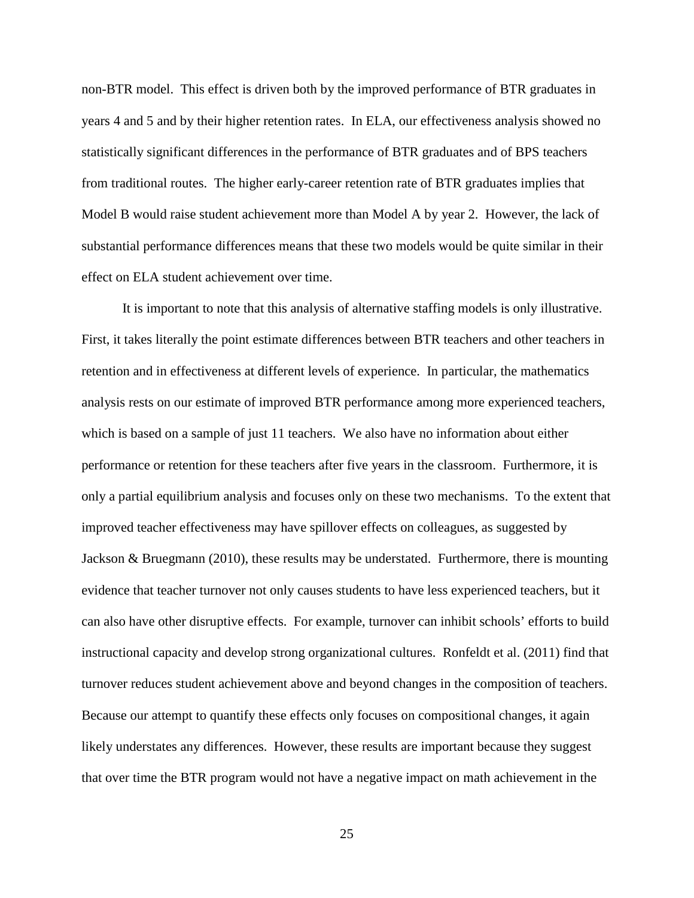non-BTR model. This effect is driven both by the improved performance of BTR graduates in years 4 and 5 and by their higher retention rates. In ELA, our effectiveness analysis showed no statistically significant differences in the performance of BTR graduates and of BPS teachers from traditional routes. The higher early-career retention rate of BTR graduates implies that Model B would raise student achievement more than Model A by year 2. However, the lack of substantial performance differences means that these two models would be quite similar in their effect on ELA student achievement over time.

It is important to note that this analysis of alternative staffing models is only illustrative. First, it takes literally the point estimate differences between BTR teachers and other teachers in retention and in effectiveness at different levels of experience. In particular, the mathematics analysis rests on our estimate of improved BTR performance among more experienced teachers, which is based on a sample of just 11 teachers. We also have no information about either performance or retention for these teachers after five years in the classroom. Furthermore, it is only a partial equilibrium analysis and focuses only on these two mechanisms. To the extent that improved teacher effectiveness may have spillover effects on colleagues, as suggested by Jackson & Bruegmann (2010), these results may be understated. Furthermore, there is mounting evidence that teacher turnover not only causes students to have less experienced teachers, but it can also have other disruptive effects. For example, turnover can inhibit schools' efforts to build instructional capacity and develop strong organizational cultures. Ronfeldt et al. (2011) find that turnover reduces student achievement above and beyond changes in the composition of teachers. Because our attempt to quantify these effects only focuses on compositional changes, it again likely understates any differences. However, these results are important because they suggest that over time the BTR program would not have a negative impact on math achievement in the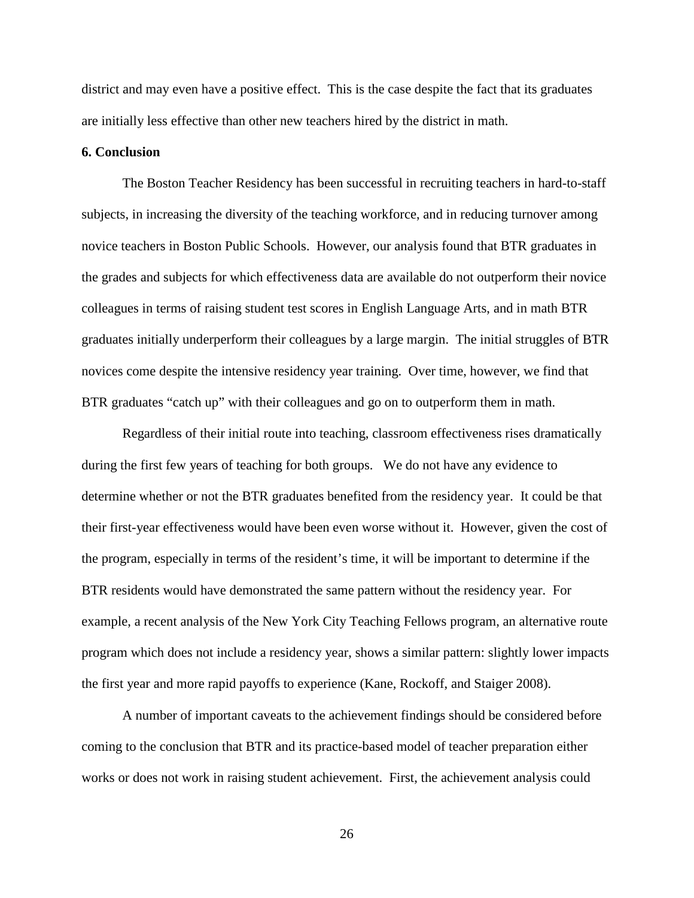district and may even have a positive effect. This is the case despite the fact that its graduates are initially less effective than other new teachers hired by the district in math.

#### **6. Conclusion**

The Boston Teacher Residency has been successful in recruiting teachers in hard-to-staff subjects, in increasing the diversity of the teaching workforce, and in reducing turnover among novice teachers in Boston Public Schools. However, our analysis found that BTR graduates in the grades and subjects for which effectiveness data are available do not outperform their novice colleagues in terms of raising student test scores in English Language Arts, and in math BTR graduates initially underperform their colleagues by a large margin. The initial struggles of BTR novices come despite the intensive residency year training. Over time, however, we find that BTR graduates "catch up" with their colleagues and go on to outperform them in math.

Regardless of their initial route into teaching, classroom effectiveness rises dramatically during the first few years of teaching for both groups. We do not have any evidence to determine whether or not the BTR graduates benefited from the residency year. It could be that their first-year effectiveness would have been even worse without it. However, given the cost of the program, especially in terms of the resident's time, it will be important to determine if the BTR residents would have demonstrated the same pattern without the residency year. For example, a recent analysis of the New York City Teaching Fellows program, an alternative route program which does not include a residency year, shows a similar pattern: slightly lower impacts the first year and more rapid payoffs to experience (Kane, Rockoff, and Staiger 2008).

A number of important caveats to the achievement findings should be considered before coming to the conclusion that BTR and its practice-based model of teacher preparation either works or does not work in raising student achievement. First, the achievement analysis could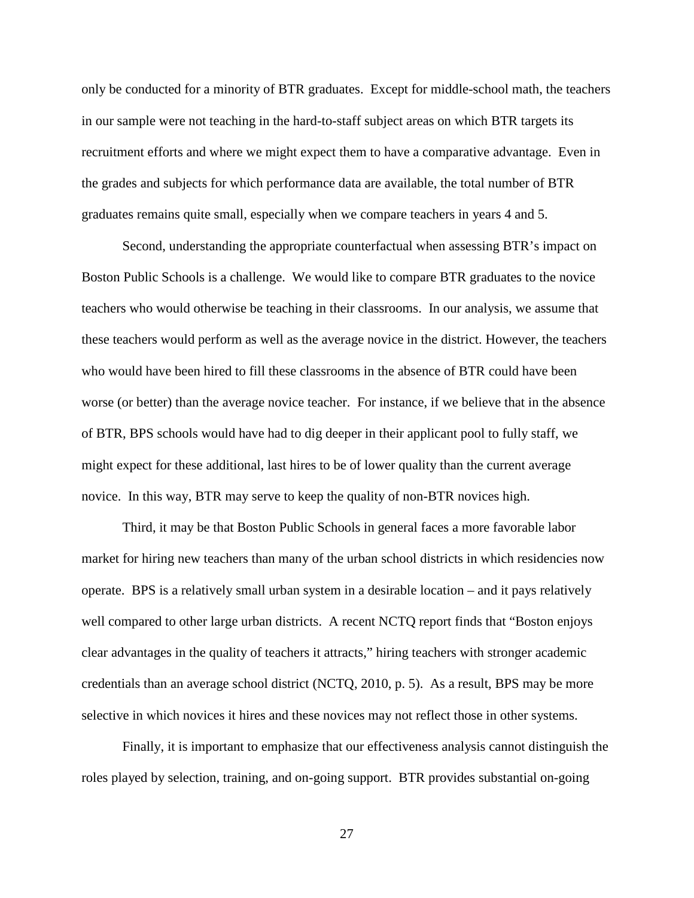only be conducted for a minority of BTR graduates. Except for middle-school math, the teachers in our sample were not teaching in the hard-to-staff subject areas on which BTR targets its recruitment efforts and where we might expect them to have a comparative advantage. Even in the grades and subjects for which performance data are available, the total number of BTR graduates remains quite small, especially when we compare teachers in years 4 and 5.

Second, understanding the appropriate counterfactual when assessing BTR's impact on Boston Public Schools is a challenge. We would like to compare BTR graduates to the novice teachers who would otherwise be teaching in their classrooms. In our analysis, we assume that these teachers would perform as well as the average novice in the district. However, the teachers who would have been hired to fill these classrooms in the absence of BTR could have been worse (or better) than the average novice teacher. For instance, if we believe that in the absence of BTR, BPS schools would have had to dig deeper in their applicant pool to fully staff, we might expect for these additional, last hires to be of lower quality than the current average novice. In this way, BTR may serve to keep the quality of non-BTR novices high.

Third, it may be that Boston Public Schools in general faces a more favorable labor market for hiring new teachers than many of the urban school districts in which residencies now operate. BPS is a relatively small urban system in a desirable location – and it pays relatively well compared to other large urban districts. A recent NCTQ report finds that "Boston enjoys" clear advantages in the quality of teachers it attracts," hiring teachers with stronger academic credentials than an average school district (NCTQ, 2010, p. 5). As a result, BPS may be more selective in which novices it hires and these novices may not reflect those in other systems.

Finally, it is important to emphasize that our effectiveness analysis cannot distinguish the roles played by selection, training, and on-going support. BTR provides substantial on-going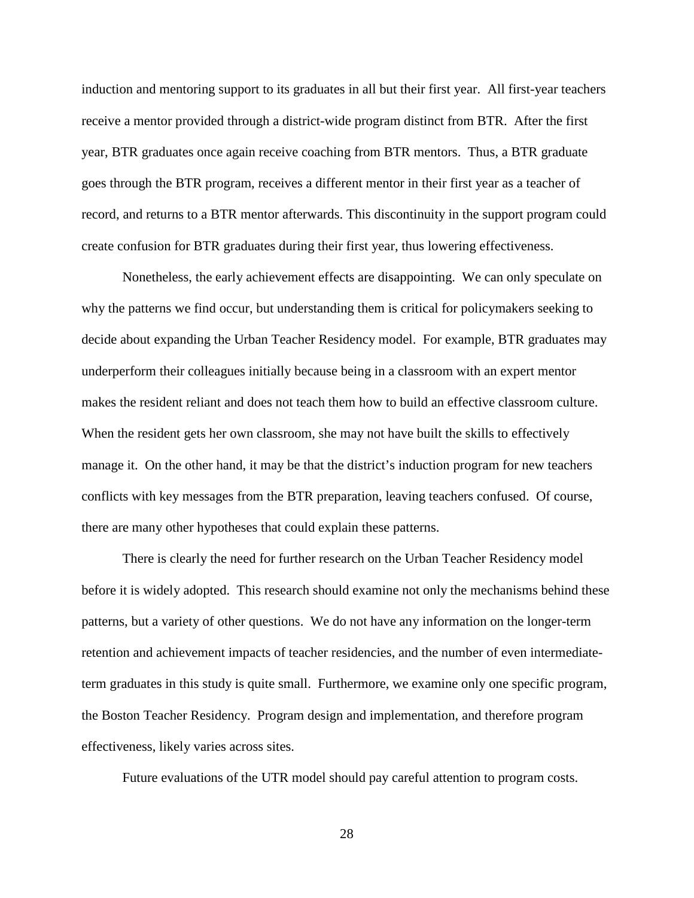induction and mentoring support to its graduates in all but their first year. All first-year teachers receive a mentor provided through a district-wide program distinct from BTR. After the first year, BTR graduates once again receive coaching from BTR mentors. Thus, a BTR graduate goes through the BTR program, receives a different mentor in their first year as a teacher of record, and returns to a BTR mentor afterwards. This discontinuity in the support program could create confusion for BTR graduates during their first year, thus lowering effectiveness.

Nonetheless, the early achievement effects are disappointing. We can only speculate on why the patterns we find occur, but understanding them is critical for policymakers seeking to decide about expanding the Urban Teacher Residency model. For example, BTR graduates may underperform their colleagues initially because being in a classroom with an expert mentor makes the resident reliant and does not teach them how to build an effective classroom culture. When the resident gets her own classroom, she may not have built the skills to effectively manage it. On the other hand, it may be that the district's induction program for new teachers conflicts with key messages from the BTR preparation, leaving teachers confused. Of course, there are many other hypotheses that could explain these patterns.

There is clearly the need for further research on the Urban Teacher Residency model before it is widely adopted. This research should examine not only the mechanisms behind these patterns, but a variety of other questions. We do not have any information on the longer-term retention and achievement impacts of teacher residencies, and the number of even intermediateterm graduates in this study is quite small. Furthermore, we examine only one specific program, the Boston Teacher Residency. Program design and implementation, and therefore program effectiveness, likely varies across sites.

Future evaluations of the UTR model should pay careful attention to program costs.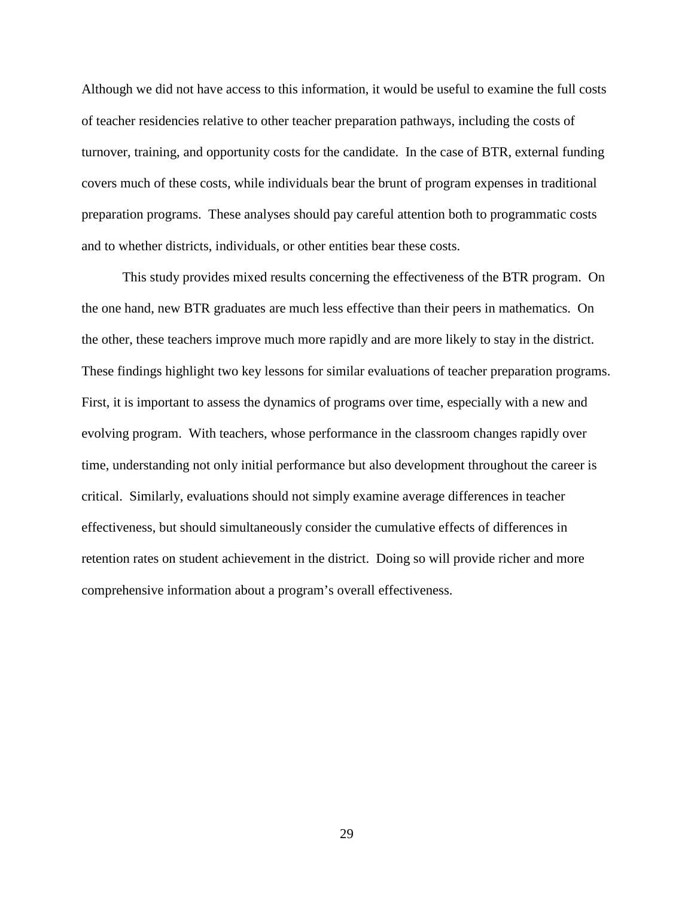Although we did not have access to this information, it would be useful to examine the full costs of teacher residencies relative to other teacher preparation pathways, including the costs of turnover, training, and opportunity costs for the candidate. In the case of BTR, external funding covers much of these costs, while individuals bear the brunt of program expenses in traditional preparation programs. These analyses should pay careful attention both to programmatic costs and to whether districts, individuals, or other entities bear these costs.

This study provides mixed results concerning the effectiveness of the BTR program. On the one hand, new BTR graduates are much less effective than their peers in mathematics. On the other, these teachers improve much more rapidly and are more likely to stay in the district. These findings highlight two key lessons for similar evaluations of teacher preparation programs. First, it is important to assess the dynamics of programs over time, especially with a new and evolving program. With teachers, whose performance in the classroom changes rapidly over time, understanding not only initial performance but also development throughout the career is critical. Similarly, evaluations should not simply examine average differences in teacher effectiveness, but should simultaneously consider the cumulative effects of differences in retention rates on student achievement in the district. Doing so will provide richer and more comprehensive information about a program's overall effectiveness.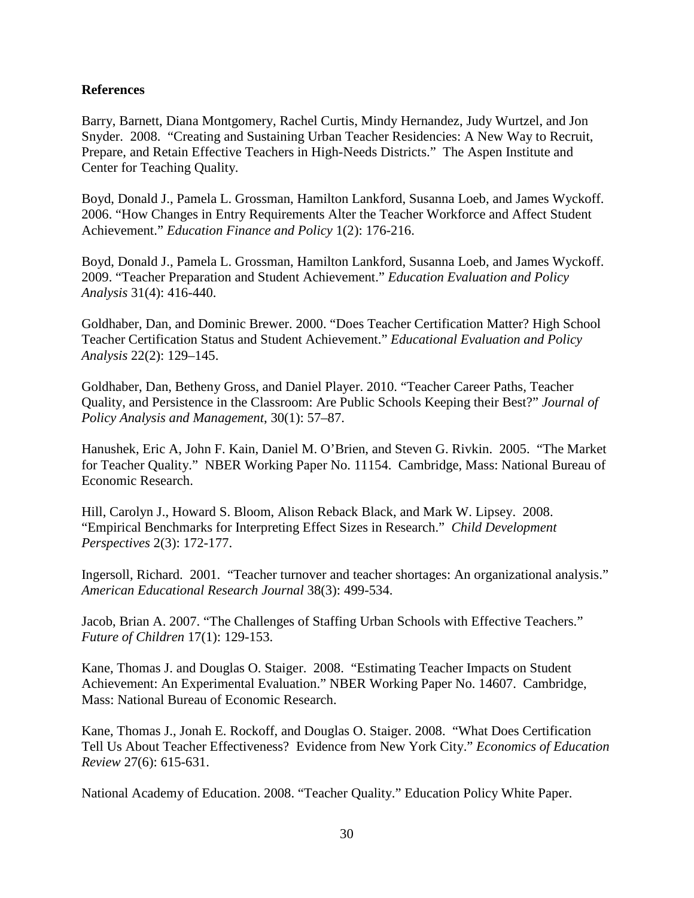# **References**

Barry, Barnett, Diana Montgomery, Rachel Curtis, Mindy Hernandez, Judy Wurtzel, and Jon Snyder. 2008. "Creating and Sustaining Urban Teacher Residencies: A New Way to Recruit, Prepare, and Retain Effective Teachers in High-Needs Districts." The Aspen Institute and Center for Teaching Quality.

Boyd, Donald J., Pamela L. Grossman, Hamilton Lankford, Susanna Loeb, and James Wyckoff. 2006. "How Changes in Entry Requirements Alter the Teacher Workforce and Affect Student Achievement." *Education Finance and Policy* 1(2): 176-216.

Boyd, Donald J., Pamela L. Grossman, Hamilton Lankford, Susanna Loeb, and James Wyckoff. 2009. "Teacher Preparation and Student Achievement." *Education Evaluation and Policy Analysis* 31(4): 416-440.

Goldhaber, Dan, and Dominic Brewer. 2000. "Does Teacher Certification Matter? High School Teacher Certification Status and Student Achievement." *Educational Evaluation and Policy Analysis* 22(2): 129–145.

Goldhaber, Dan, Betheny Gross, and Daniel Player. 2010. "Teacher Career Paths, Teacher Quality, and Persistence in the Classroom: Are Public Schools Keeping their Best?" *Journal of Policy Analysis and Management*, 30(1): 57–87.

Hanushek, Eric A, John F. Kain, Daniel M. O'Brien, and Steven G. Rivkin. 2005. "The Market for Teacher Quality." NBER Working Paper No. 11154. Cambridge, Mass: National Bureau of Economic Research.

Hill, Carolyn J., Howard S. Bloom, Alison Reback Black, and Mark W. Lipsey. 2008. "Empirical Benchmarks for Interpreting Effect Sizes in Research." *Child Development Perspectives* 2(3): 172-177.

Ingersoll, Richard. 2001. "Teacher turnover and teacher shortages: An organizational analysis." *American Educational Research Journal* 38(3): 499-534.

Jacob, Brian A. 2007. "The Challenges of Staffing Urban Schools with Effective Teachers." *Future of Children* 17(1): 129-153.

Kane, Thomas J. and Douglas O. Staiger. 2008. "Estimating Teacher Impacts on Student Achievement: An Experimental Evaluation." NBER Working Paper No. 14607. Cambridge, Mass: National Bureau of Economic Research.

Kane, Thomas J., Jonah E. Rockoff, and Douglas O. Staiger. 2008. "What Does Certification Tell Us About Teacher Effectiveness? Evidence from New York City." *Economics of Education Review* 27(6): 615-631.

National Academy of Education. 2008. "Teacher Quality." Education Policy White Paper.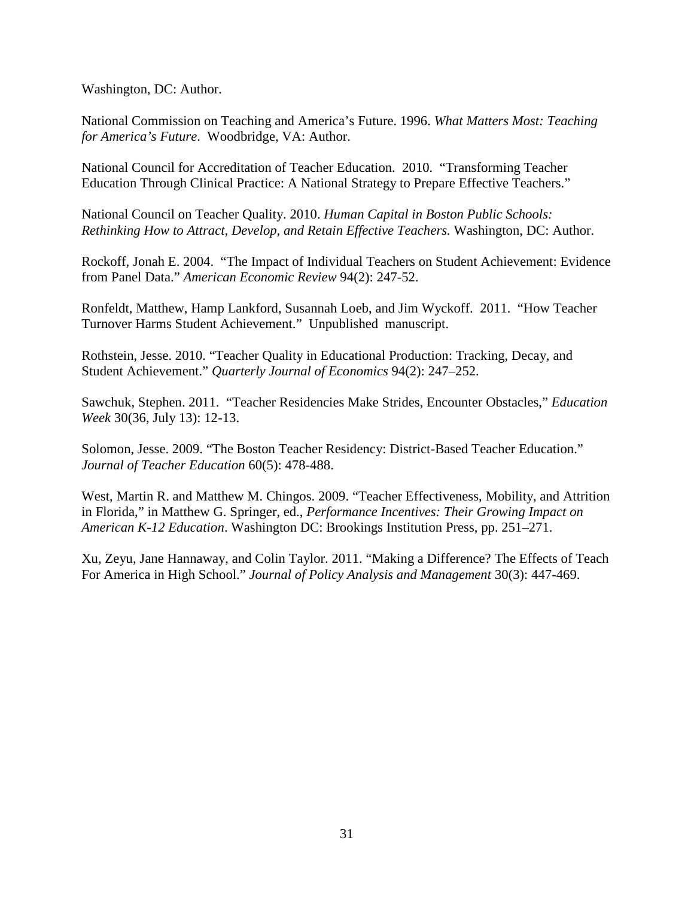Washington, DC: Author.

National Commission on Teaching and America's Future. 1996. *What Matters Most: Teaching for America's Future*. Woodbridge, VA: Author.

National Council for Accreditation of Teacher Education. 2010. "Transforming Teacher Education Through Clinical Practice: A National Strategy to Prepare Effective Teachers."

National Council on Teacher Quality. 2010. *Human Capital in Boston Public Schools: Rethinking How to Attract, Develop, and Retain Effective Teachers.* Washington, DC: Author.

Rockoff, Jonah E. 2004. "The Impact of Individual Teachers on Student Achievement: Evidence from Panel Data." *American Economic Review* 94(2): 247-52.

Ronfeldt, Matthew, Hamp Lankford, Susannah Loeb, and Jim Wyckoff. 2011. "How Teacher Turnover Harms Student Achievement." Unpublished manuscript.

Rothstein, Jesse. 2010. "Teacher Quality in Educational Production: Tracking, Decay, and Student Achievement." *Quarterly Journal of Economics* 94(2): 247–252.

Sawchuk, Stephen. 2011. "Teacher Residencies Make Strides, Encounter Obstacles," *Education Week* 30(36, July 13): 12-13.

Solomon, Jesse. 2009. "The Boston Teacher Residency: District-Based Teacher Education." *Journal of Teacher Education* 60(5): 478-488.

West, Martin R. and Matthew M. Chingos. 2009. "Teacher Effectiveness, Mobility, and Attrition in Florida," in Matthew G. Springer, ed., *Performance Incentives: Their Growing Impact on American K-12 Education*. Washington DC: Brookings Institution Press, pp. 251–271.

Xu, Zeyu, Jane Hannaway, and Colin Taylor. 2011. "Making a Difference? The Effects of Teach For America in High School." *Journal of Policy Analysis and Management* 30(3): 447-469.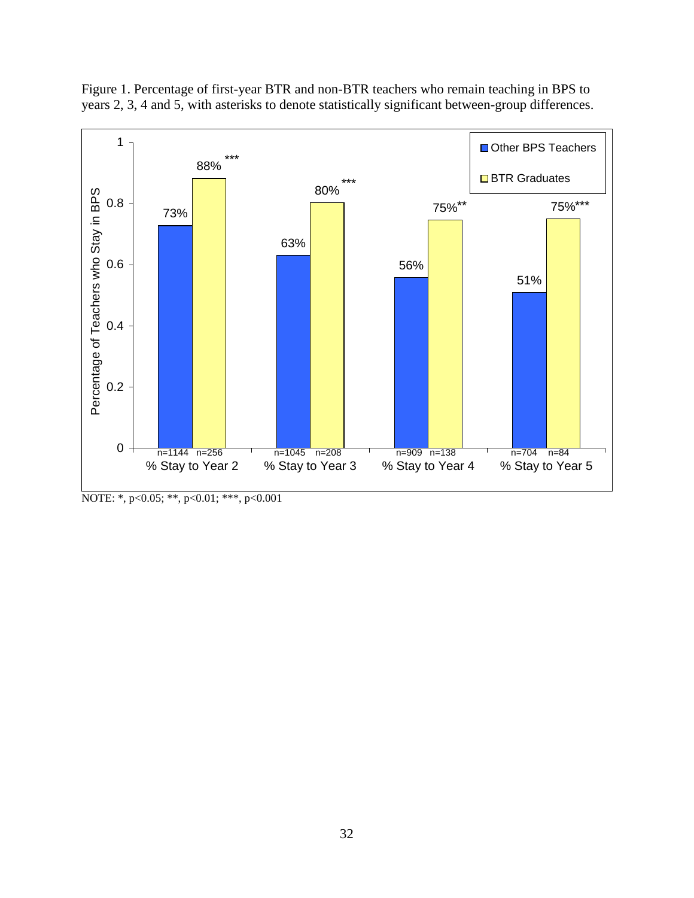

Figure 1. Percentage of first-year BTR and non-BTR teachers who remain teaching in BPS to years 2, 3, 4 and 5, with asterisks to denote statistically significant between-group differences.

NOTE: \*, p<0.05; \*\*, p<0.01; \*\*\*, p<0.001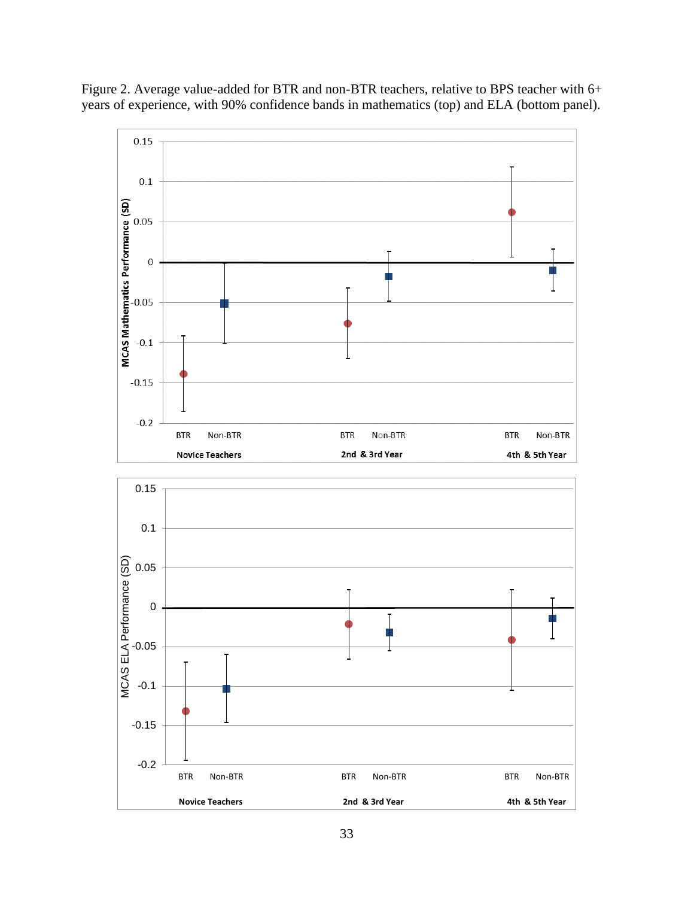Figure 2. Average value-added for BTR and non-BTR teachers, relative to BPS teacher with 6+ years of experience, with 90% confidence bands in mathematics (top) and ELA (bottom panel).

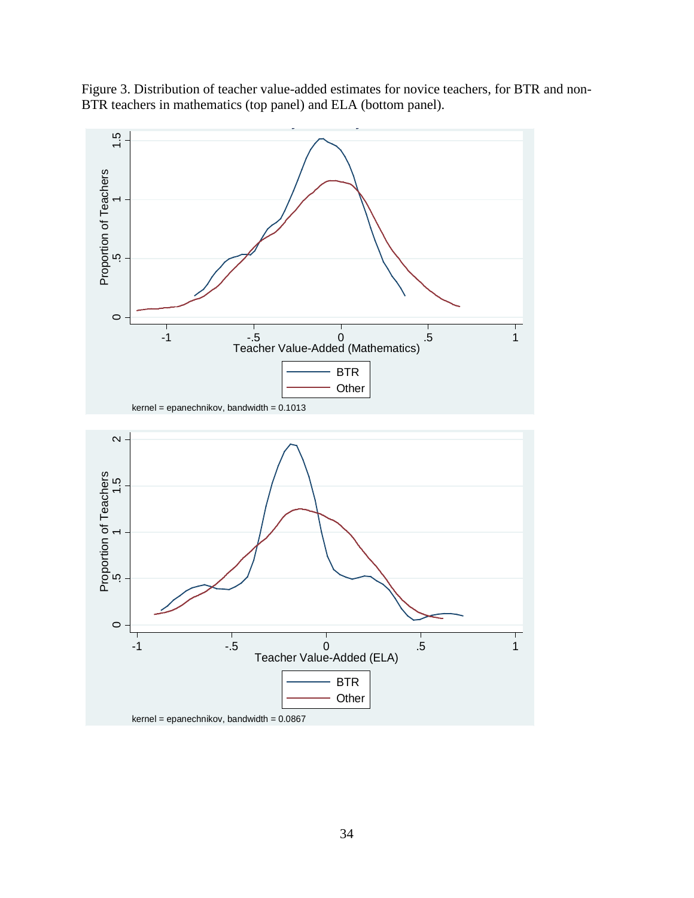

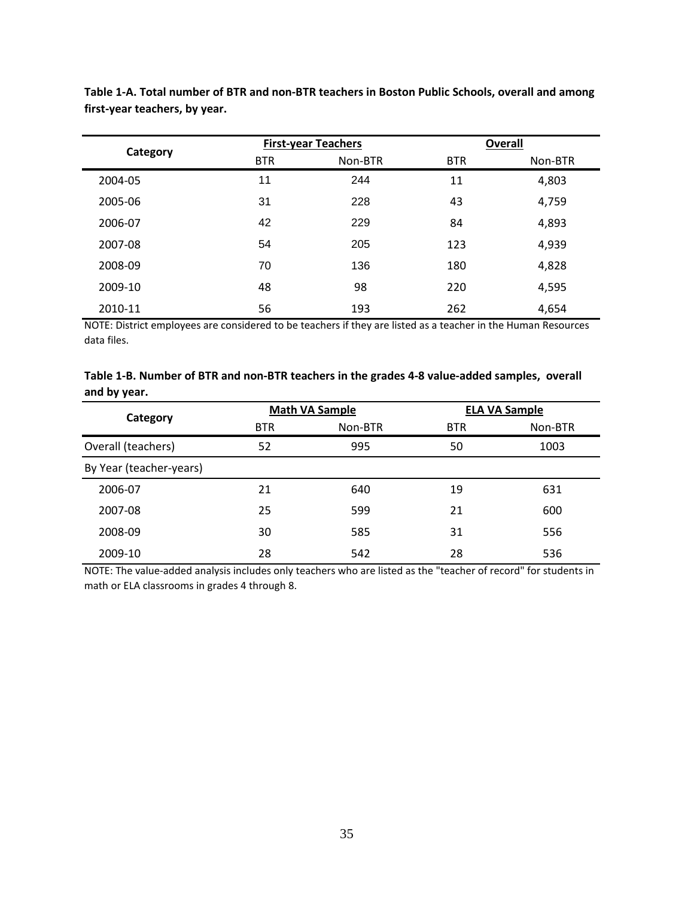| Category |            | <b>First-year Teachers</b> | <b>Overall</b> |         |  |
|----------|------------|----------------------------|----------------|---------|--|
|          | <b>BTR</b> | Non-BTR                    | <b>BTR</b>     | Non-BTR |  |
| 2004-05  | 11         | 244                        | 11             | 4,803   |  |
| 2005-06  | 31         | 228                        | 43             | 4,759   |  |
| 2006-07  | 42         | 229                        | 84             | 4,893   |  |
| 2007-08  | 54         | 205                        | 123            | 4,939   |  |
| 2008-09  | 70         | 136                        | 180            | 4,828   |  |
| 2009-10  | 48         | 98                         | 220            | 4,595   |  |
| 2010-11  | 56         | 193                        | 262            | 4,654   |  |

**Table 1-A. Total number of BTR and non-BTR teachers in Boston Public Schools, overall and among first-year teachers, by year.**

NOTE: District employees are considered to be teachers if they are listed as a teacher in the Human Resources data files.

| Table 1-B. Number of BTR and non-BTR teachers in the grades 4-8 value-added samples, overall |  |
|----------------------------------------------------------------------------------------------|--|
| and by year.                                                                                 |  |

| Category                | <b>Math VA Sample</b> |         | <b>ELA VA Sample</b> |         |
|-------------------------|-----------------------|---------|----------------------|---------|
|                         | <b>BTR</b>            | Non-BTR | <b>BTR</b>           | Non-BTR |
| Overall (teachers)      | 52                    | 995     | 50                   | 1003    |
| By Year (teacher-years) |                       |         |                      |         |
| 2006-07                 | 21                    | 640     | 19                   | 631     |
| 2007-08                 | 25                    | 599     | 21                   | 600     |
| 2008-09                 | 30                    | 585     | 31                   | 556     |
| 2009-10                 | 28                    | 542     | 28                   | 536     |

NOTE: The value-added analysis includes only teachers who are listed as the "teacher of record" for students in math or ELA classrooms in grades 4 through 8.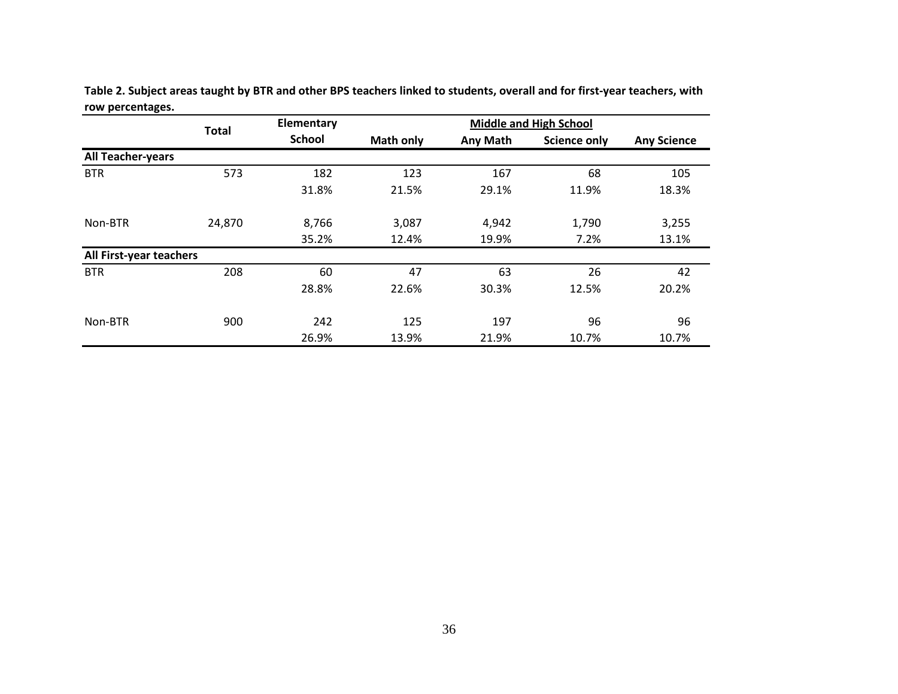|                          |              | Elementary    |                  |                 | <b>Middle and High School</b> |                    |
|--------------------------|--------------|---------------|------------------|-----------------|-------------------------------|--------------------|
|                          | <b>Total</b> | <b>School</b> | <b>Math only</b> | <b>Any Math</b> | <b>Science only</b>           | <b>Any Science</b> |
| <b>All Teacher-years</b> |              |               |                  |                 |                               |                    |
| <b>BTR</b>               | 573          | 182           | 123              | 167             | 68                            | 105                |
|                          |              | 31.8%         | 21.5%            | 29.1%           | 11.9%                         | 18.3%              |
| Non-BTR                  | 24,870       | 8,766         | 3,087            | 4,942           | 1,790                         | 3,255              |
|                          |              | 35.2%         | 12.4%            | 19.9%           | 7.2%                          | 13.1%              |
| All First-year teachers  |              |               |                  |                 |                               |                    |
| <b>BTR</b>               | 208          | 60            | 47               | 63              | 26                            | 42                 |
|                          |              | 28.8%         | 22.6%            | 30.3%           | 12.5%                         | 20.2%              |
| Non-BTR                  | 900          | 242           | 125              | 197             | 96                            | 96                 |
|                          |              | 26.9%         | 13.9%            | 21.9%           | 10.7%                         | 10.7%              |

**Table 2. Subject areas taught by BTR and other BPS teachers linked to students, overall and for first-year teachers, with row percentages.**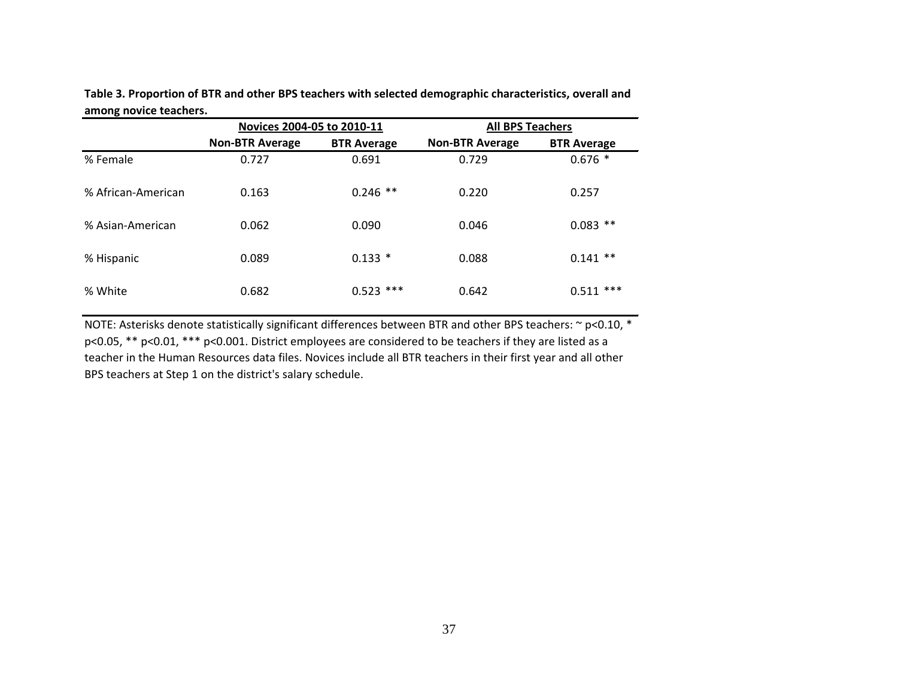| anions novice teachers. | Novices 2004-05 to 2010-11 |                    | <b>All BPS Teachers</b> |                    |  |
|-------------------------|----------------------------|--------------------|-------------------------|--------------------|--|
|                         | <b>Non-BTR Average</b>     | <b>BTR Average</b> | <b>Non-BTR Average</b>  | <b>BTR Average</b> |  |
| % Female                | 0.727                      | 0.691              | 0.729                   | $0.676*$           |  |
| % African-American      | 0.163                      | $0.246$ **         | 0.220                   | 0.257              |  |
| % Asian-American        | 0.062                      | 0.090              | 0.046                   | $0.083$ **         |  |
| % Hispanic              | 0.089                      | $0.133*$           | 0.088                   | $0.141$ **         |  |
| % White                 | 0.682                      | $0.523$ ***        | 0.642                   | ***<br>0.511       |  |

**Table 3. Proportion of BTR and other BPS teachers with selected demographic characteristics, overall and among novice teachers.**

NOTE: Asterisks denote statistically significant differences between BTR and other BPS teachers: ~ p<0.10, \* p<0.05, \*\* p<0.01, \*\*\* p<0.001. District employees are considered to be teachers if they are listed as a teacher in the Human Resources data files. Novices include all BTR teachers in their first year and all other BPS teachers at Step 1 on the district's salary schedule.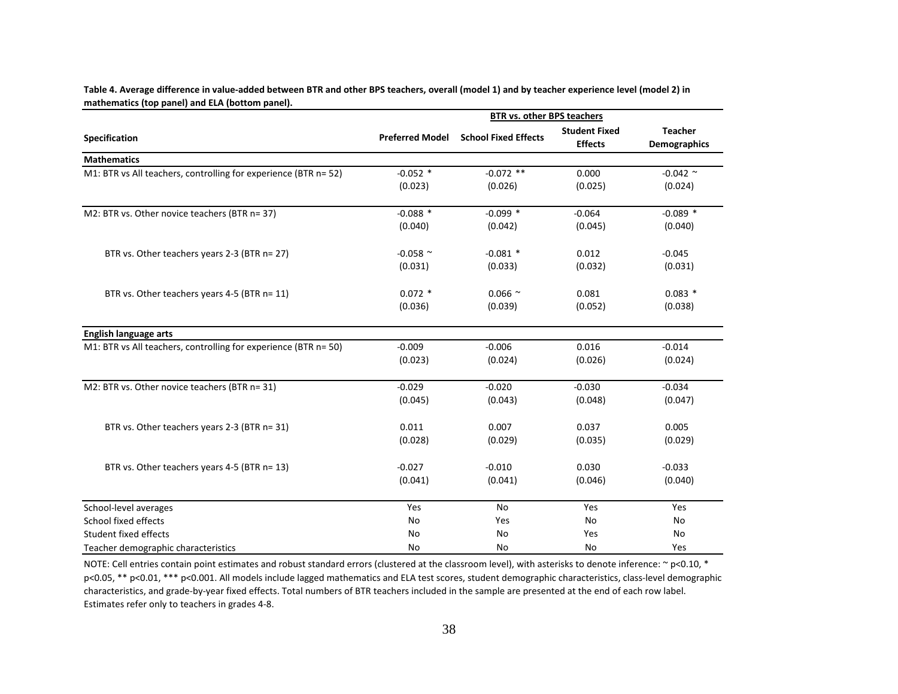|                                                                 | <b>BTR vs. other BPS teachers</b> |                             |                                        |                                       |  |  |
|-----------------------------------------------------------------|-----------------------------------|-----------------------------|----------------------------------------|---------------------------------------|--|--|
| <b>Specification</b>                                            | <b>Preferred Model</b>            | <b>School Fixed Effects</b> | <b>Student Fixed</b><br><b>Effects</b> | <b>Teacher</b><br><b>Demographics</b> |  |  |
| <b>Mathematics</b>                                              |                                   |                             |                                        |                                       |  |  |
| M1: BTR vs All teachers, controlling for experience (BTR n= 52) | $-0.052$ *                        | $-0.072$ **                 | 0.000                                  | $-0.042$ ~                            |  |  |
|                                                                 | (0.023)                           | (0.026)                     | (0.025)                                | (0.024)                               |  |  |
| M2: BTR vs. Other novice teachers (BTR n= 37)                   | $-0.088*$                         | $-0.099*$                   | $-0.064$                               | $-0.089$ *                            |  |  |
|                                                                 | (0.040)                           | (0.042)                     | (0.045)                                | (0.040)                               |  |  |
| BTR vs. Other teachers years 2-3 (BTR n= 27)                    | -0.058 $\sim$                     | $-0.081$ *                  | 0.012                                  | $-0.045$                              |  |  |
|                                                                 | (0.031)                           | (0.033)                     | (0.032)                                | (0.031)                               |  |  |
| BTR vs. Other teachers years 4-5 (BTR n= 11)                    | $0.072$ *                         | $0.066$ ~                   | 0.081                                  | $0.083*$                              |  |  |
|                                                                 | (0.036)                           | (0.039)                     | (0.052)                                | (0.038)                               |  |  |
| <b>English language arts</b>                                    |                                   |                             |                                        |                                       |  |  |
| M1: BTR vs All teachers, controlling for experience (BTR n= 50) | $-0.009$                          | $-0.006$                    | 0.016                                  | $-0.014$                              |  |  |
|                                                                 | (0.023)                           | (0.024)                     | (0.026)                                | (0.024)                               |  |  |
| M2: BTR vs. Other novice teachers (BTR n= 31)                   | $-0.029$                          | $-0.020$                    | $-0.030$                               | $-0.034$                              |  |  |
|                                                                 | (0.045)                           | (0.043)                     | (0.048)                                | (0.047)                               |  |  |
| BTR vs. Other teachers years 2-3 (BTR n= 31)                    | 0.011                             | 0.007                       | 0.037                                  | 0.005                                 |  |  |
|                                                                 | (0.028)                           | (0.029)                     | (0.035)                                | (0.029)                               |  |  |
| BTR vs. Other teachers years 4-5 (BTR n= 13)                    | $-0.027$                          | $-0.010$                    | 0.030                                  | $-0.033$                              |  |  |
|                                                                 | (0.041)                           | (0.041)                     | (0.046)                                | (0.040)                               |  |  |
| School-level averages                                           | Yes                               | No                          | Yes                                    | Yes                                   |  |  |
| School fixed effects                                            | No                                | Yes                         | No                                     | No                                    |  |  |
| <b>Student fixed effects</b>                                    | No                                | No                          | Yes                                    | No                                    |  |  |
| Teacher demographic characteristics                             | <b>No</b>                         | No                          | No                                     | Yes                                   |  |  |

**Table 4. Average difference in value-added between BTR and other BPS teachers, overall (model 1) and by teacher experience level (model 2) in mathematics (top panel) and ELA (bottom panel).**

NOTE: Cell entries contain point estimates and robust standard errors (clustered at the classroom level), with asterisks to denote inference:  $\sim$  p<0.10, \* p<0.05, \*\* p<0.01, \*\*\* p<0.001. All models include lagged mathematics and ELA test scores, student demographic characteristics, class-level demographic characteristics, and grade-by-year fixed effects. Total numbers of BTR teachers included in the sample are presented at the end of each row label. Estimates refer only to teachers in grades 4-8.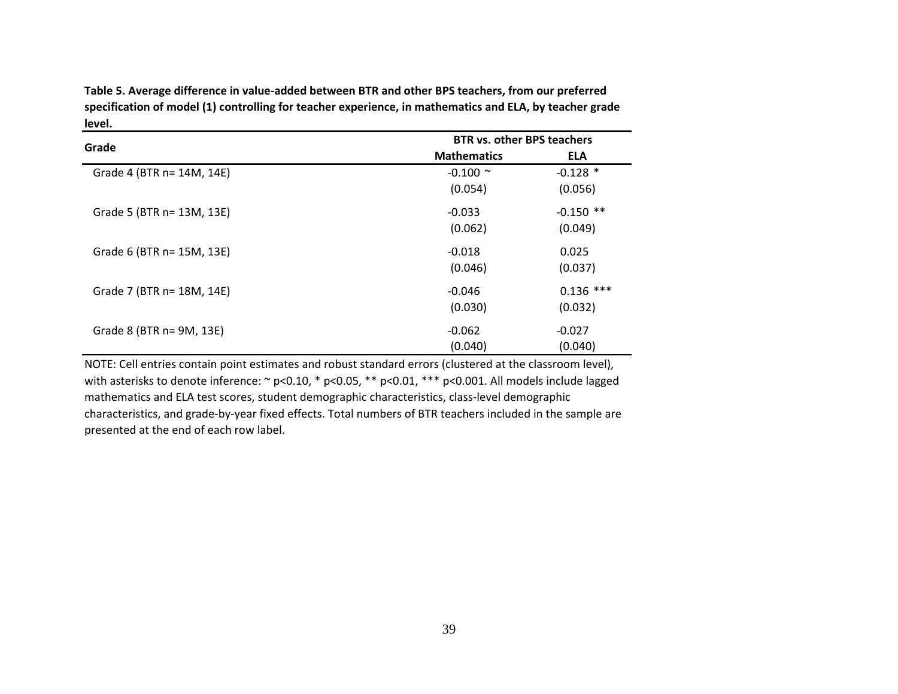**Table 5. Average difference in value-added between BTR and other BPS teachers, from our preferred specification of model (1) controlling for teacher experience, in mathematics and ELA, by teacher grade level.**

| Grade                     | <b>BTR vs. other BPS teachers</b> |             |  |  |
|---------------------------|-----------------------------------|-------------|--|--|
|                           | <b>Mathematics</b>                | <b>ELA</b>  |  |  |
| Grade 4 (BTR n= 14M, 14E) | $-0.100$ ~                        | $-0.128$ *  |  |  |
|                           | (0.054)                           | (0.056)     |  |  |
| Grade 5 (BTR n= 13M, 13E) | $-0.033$                          | $-0.150$ ** |  |  |
|                           | (0.062)                           | (0.049)     |  |  |
| Grade 6 (BTR n= 15M, 13E) | $-0.018$                          | 0.025       |  |  |
|                           | (0.046)                           | (0.037)     |  |  |
| Grade 7 (BTR n= 18M, 14E) | $-0.046$                          | $0.136$ *** |  |  |
|                           | (0.030)                           | (0.032)     |  |  |
| Grade 8 (BTR n= 9M, 13E)  | $-0.062$                          | $-0.027$    |  |  |
|                           | (0.040)                           | (0.040)     |  |  |

NOTE: Cell entries contain point estimates and robust standard errors (clustered at the classroom level), with asterisks to denote inference:  $\sim$  p<0.10, \* p<0.05, \*\* p<0.01, \*\*\* p<0.001. All models include lagged mathematics and ELA test scores, student demographic characteristics, class-level demographic characteristics, and grade-by-year fixed effects. Total numbers of BTR teachers included in the sample are presented at the end of each row label.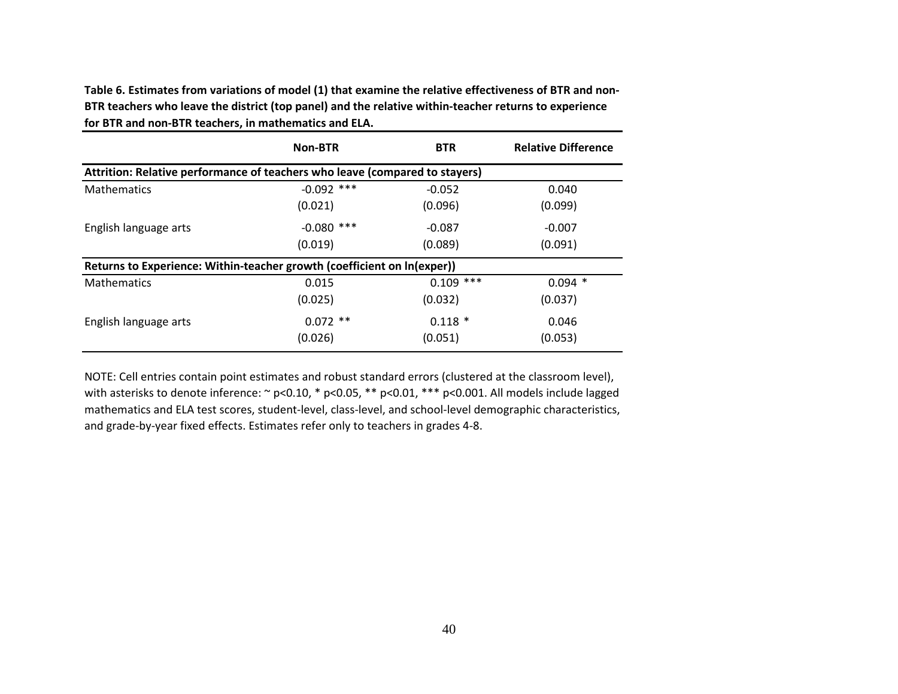**Table 6. Estimates from variations of model (1) that examine the relative effectiveness of BTR and non-BTR teachers who leave the district (top panel) and the relative within-teacher returns to experience for BTR and non-BTR teachers, in mathematics and ELA.**

|                                                                             | <b>Non-BTR</b> | <b>BTR</b>  | <b>Relative Difference</b> |  |  |  |  |
|-----------------------------------------------------------------------------|----------------|-------------|----------------------------|--|--|--|--|
| Attrition: Relative performance of teachers who leave (compared to stayers) |                |             |                            |  |  |  |  |
| <b>Mathematics</b>                                                          | $-0.092$ ***   | $-0.052$    | 0.040                      |  |  |  |  |
|                                                                             | (0.021)        | (0.096)     | (0.099)                    |  |  |  |  |
| English language arts                                                       | $-0.080$ ***   | $-0.087$    | $-0.007$                   |  |  |  |  |
|                                                                             | (0.019)        | (0.089)     | (0.091)                    |  |  |  |  |
| Returns to Experience: Within-teacher growth (coefficient on In(exper))     |                |             |                            |  |  |  |  |
| <b>Mathematics</b>                                                          | 0.015          | $0.109$ *** | $0.094$ *                  |  |  |  |  |
|                                                                             | (0.025)        | (0.032)     | (0.037)                    |  |  |  |  |
| English language arts                                                       | $0.072$ **     | $0.118*$    | 0.046                      |  |  |  |  |
|                                                                             | (0.026)        | (0.051)     | (0.053)                    |  |  |  |  |

NOTE: Cell entries contain point estimates and robust standard errors (clustered at the classroom level), with asterisks to denote inference: ~ p<0.10, \* p<0.05, \*\* p<0.01, \*\*\* p<0.001. All models include lagged mathematics and ELA test scores, student-level, class-level, and school-level demographic characteristics, and grade-by-year fixed effects. Estimates refer only to teachers in grades 4-8.